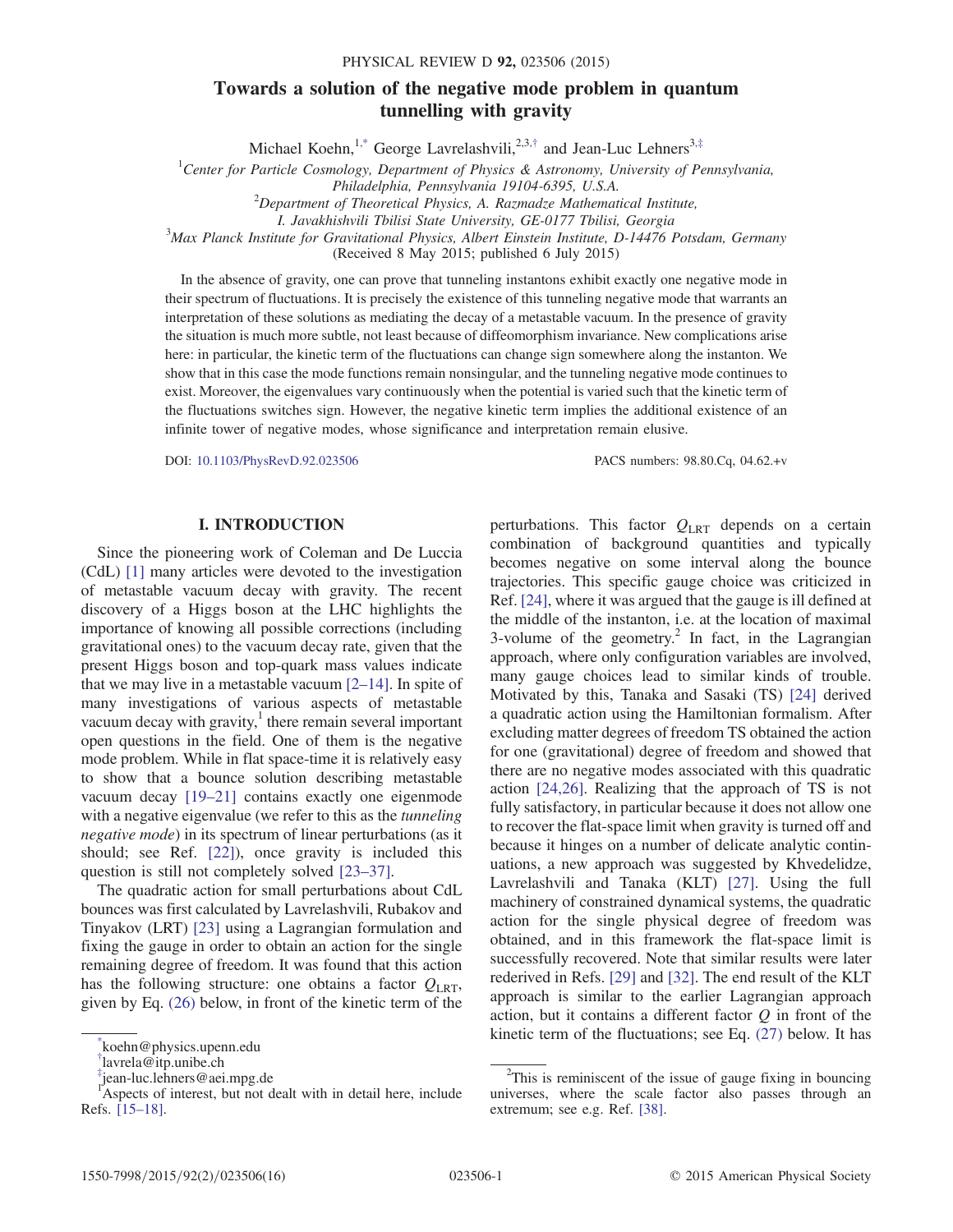# Towards a solution of the negative mode problem in quantum tunnelling with gravity

Michael Koehn,<sup>[1,\\*](#page-0-0)</sup> George Lavrelashvili,<sup>2,3,[†](#page-0-1)</sup> and Jean-Luc Lehners<sup>3,[‡](#page-0-2)</sup>

<span id="page-0-3"></span><sup>1</sup>Center for Particle Cosmology, Department of Physics & Astronomy, University of Pennsylvania,

Philadelphia, Pennsylvania 19104-6395, U.S.A. <sup>2</sup>

 $10^{2}$ Department of Theoretical Physics, A. Razmadze Mathematical Institute,

I. Javakhishvili Tbilisi State University, GE-0177 Tbilisi, Georgia <sup>3</sup>

 ${}^{3}$ Max Planck Institute for Gravitational Physics, Albert Einstein Institute, D-14476 Potsdam, Germany

(Received 8 May 2015; published 6 July 2015)

In the absence of gravity, one can prove that tunneling instantons exhibit exactly one negative mode in their spectrum of fluctuations. It is precisely the existence of this tunneling negative mode that warrants an interpretation of these solutions as mediating the decay of a metastable vacuum. In the presence of gravity the situation is much more subtle, not least because of diffeomorphism invariance. New complications arise here: in particular, the kinetic term of the fluctuations can change sign somewhere along the instanton. We show that in this case the mode functions remain nonsingular, and the tunneling negative mode continues to exist. Moreover, the eigenvalues vary continuously when the potential is varied such that the kinetic term of the fluctuations switches sign. However, the negative kinetic term implies the additional existence of an infinite tower of negative modes, whose significance and interpretation remain elusive.

DOI: [10.1103/PhysRevD.92.023506](http://dx.doi.org/10.1103/PhysRevD.92.023506) PACS numbers: 98.80.Cq, 04.62.+v

### I. INTRODUCTION

Since the pioneering work of Coleman and De Luccia (CdL) [\[1\]](#page-14-0) many articles were devoted to the investigation of metastable vacuum decay with gravity. The recent discovery of a Higgs boson at the LHC highlights the importance of knowing all possible corrections (including gravitational ones) to the vacuum decay rate, given that the present Higgs boson and top-quark mass values indicate that we may live in a metastable vacuum  $[2-14]$  $[2-14]$ . In spite of many investigations of various aspects of metastable vacuum decay with gravity, $\frac{1}{1}$  there remain several important open questions in the field. One of them is the negative mode problem. While in flat space-time it is relatively easy to show that a bounce solution describing metastable vacuum decay [19–[21\]](#page-14-2) contains exactly one eigenmode with a negative eigenvalue (we refer to this as the *tunneling* negative mode) in its spectrum of linear perturbations (as it should; see Ref. [\[22\]\)](#page-14-3), once gravity is included this question is still not completely solved [\[23](#page-14-4)–37].

The quadratic action for small perturbations about CdL bounces was first calculated by Lavrelashvili, Rubakov and Tinyakov (LRT) [\[23\]](#page-14-4) using a Lagrangian formulation and fixing the gauge in order to obtain an action for the single remaining degree of freedom. It was found that this action has the following structure: one obtains a factor  $Q_{LRT}$ , given by Eq. [\(26\)](#page-3-0) below, in front of the kinetic term of the

perturbations. This factor  $Q_{LRT}$  depends on a certain combination of background quantities and typically becomes negative on some interval along the bounce trajectories. This specific gauge choice was criticized in Ref. [\[24\],](#page-14-5) where it was argued that the gauge is ill defined at the middle of the instanton, i.e. at the location of maximal 3-volume of the geometry.<sup>2</sup> In fact, in the Lagrangian approach, where only configuration variables are involved, many gauge choices lead to similar kinds of trouble. Motivated by this, Tanaka and Sasaki (TS) [\[24\]](#page-14-5) derived a quadratic action using the Hamiltonian formalism. After excluding matter degrees of freedom TS obtained the action for one (gravitational) degree of freedom and showed that there are no negative modes associated with this quadratic action [\[24,26\]](#page-14-5). Realizing that the approach of TS is not fully satisfactory, in particular because it does not allow one to recover the flat-space limit when gravity is turned off and because it hinges on a number of delicate analytic continuations, a new approach was suggested by Khvedelidze, Lavrelashvili and Tanaka (KLT) [\[27\]](#page-14-6). Using the full machinery of constrained dynamical systems, the quadratic action for the single physical degree of freedom was obtained, and in this framework the flat-space limit is successfully recovered. Note that similar results were later rederived in Refs. [\[29\]](#page-14-7) and [\[32\].](#page-15-0) The end result of the KLT approach is similar to the earlier Lagrangian approach action, but it contains a different factor  $Q$  in front of the kinetic term of the fluctuations; see Eq.  $(27)$  below. It has

<span id="page-0-0"></span>koehn@physics.upenn.edu

<span id="page-0-1"></span>[<sup>†</sup>](#page-0-3) lavrela@itp.unibe.ch

<span id="page-0-2"></span><sup>&</sup>lt;sup>[‡](#page-0-3)</sup>jean-luc.lehners@aei.mpg.de

Aspects of interest, but not dealt with in detail here, include Refs. [15–[18\].](#page-14-8)

<sup>&</sup>lt;sup>2</sup>This is reminiscent of the issue of gauge fixing in bouncing universes, where the scale factor also passes through an extremum; see e.g. Ref. [\[38\]](#page-15-1).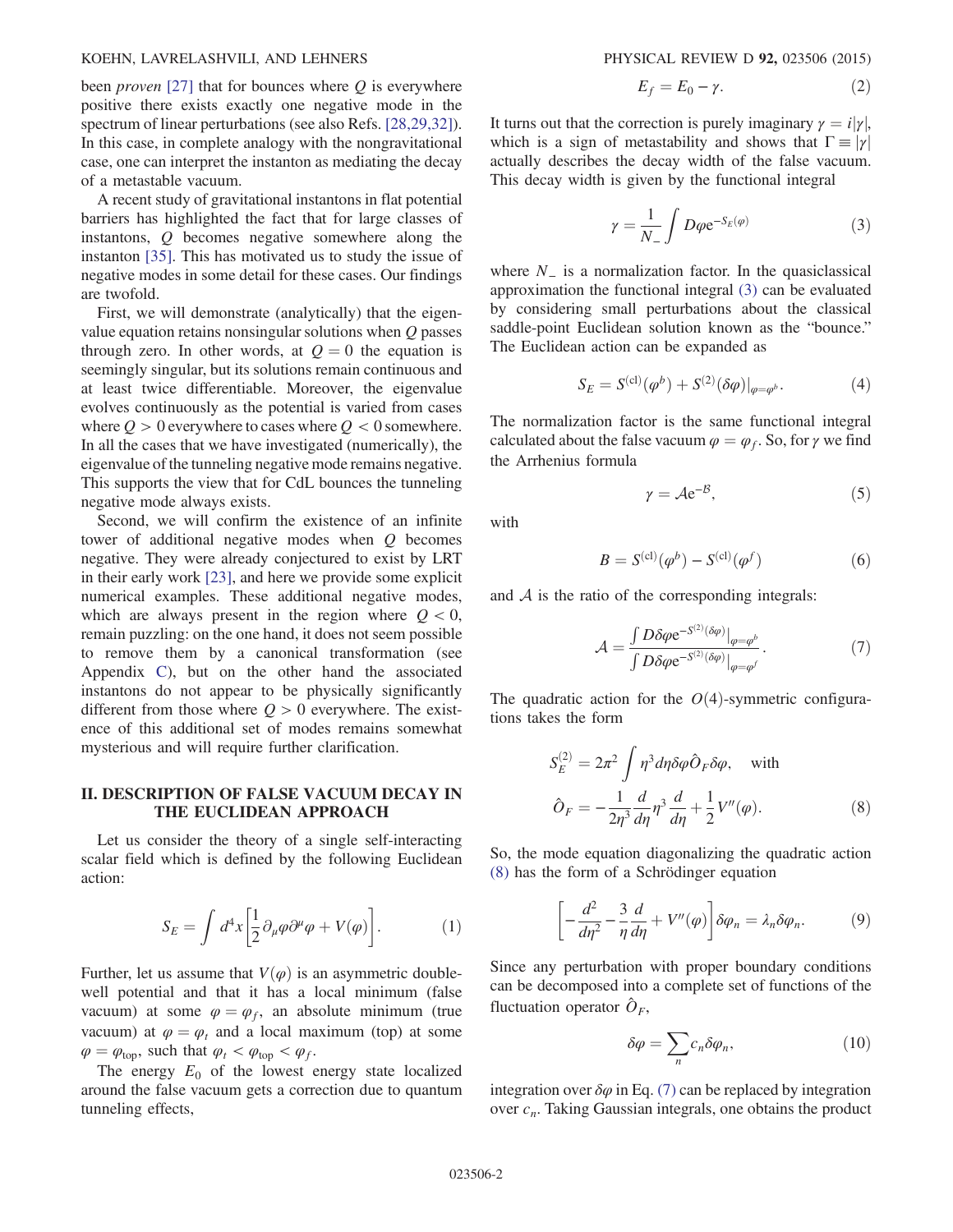been *proven* [\[27\]](#page-14-6) that for bounces where  $Q$  is everywhere positive there exists exactly one negative mode in the spectrum of linear perturbations (see also Refs. [\[28,29,32\]](#page-14-9)). In this case, in complete analogy with the nongravitational case, one can interpret the instanton as mediating the decay of a metastable vacuum.

A recent study of gravitational instantons in flat potential barriers has highlighted the fact that for large classes of instantons, Q becomes negative somewhere along the instanton [\[35\].](#page-15-2) This has motivated us to study the issue of negative modes in some detail for these cases. Our findings are twofold.

First, we will demonstrate (analytically) that the eigenvalue equation retains nonsingular solutions when  $Q$  passes through zero. In other words, at  $Q = 0$  the equation is seemingly singular, but its solutions remain continuous and at least twice differentiable. Moreover, the eigenvalue evolves continuously as the potential is varied from cases where  $Q > 0$  everywhere to cases where  $Q < 0$  somewhere. In all the cases that we have investigated (numerically), the eigenvalue of the tunneling negative mode remains negative. This supports the view that for CdL bounces the tunneling negative mode always exists.

Second, we will confirm the existence of an infinite tower of additional negative modes when Q becomes negative. They were already conjectured to exist by LRT in their early work [\[23\]](#page-14-4), and here we provide some explicit numerical examples. These additional negative modes, which are always present in the region where  $Q < 0$ , remain puzzling: on the one hand, it does not seem possible to remove them by a canonical transformation (see Appendix [C](#page-12-0)), but on the other hand the associated instantons do not appear to be physically significantly different from those where  $Q > 0$  everywhere. The existence of this additional set of modes remains somewhat mysterious and will require further clarification.

# II. DESCRIPTION OF FALSE VACUUM DECAY IN THE EUCLIDEAN APPROACH

Let us consider the theory of a single self-interacting scalar field which is defined by the following Euclidean action:

$$
S_E = \int d^4x \left[ \frac{1}{2} \partial_\mu \varphi \partial^\mu \varphi + V(\varphi) \right]. \tag{1}
$$

Further, let us assume that  $V(\varphi)$  is an asymmetric doublewell potential and that it has a local minimum (false vacuum) at some  $\varphi = \varphi_f$ , an absolute minimum (true vacuum) at  $\varphi = \varphi_t$  and a local maximum (top) at some  $\varphi = \varphi_{\text{top}}$ , such that  $\varphi_t < \varphi_{\text{top}} < \varphi_f$ .

The energy  $E_0$  of the lowest energy state localized around the false vacuum gets a correction due to quantum tunneling effects,

$$
E_f = E_0 - \gamma. \tag{2}
$$

<span id="page-1-0"></span>It turns out that the correction is purely imaginary  $\gamma = i|\gamma|$ , which is a sign of metastability and shows that  $\Gamma = |\gamma|$ actually describes the decay width of the false vacuum. This decay width is given by the functional integral

$$
\gamma = \frac{1}{N_{-}} \int D\varphi e^{-S_{E}(\varphi)} \tag{3}
$$

where  $N_$  is a normalization factor. In the quasiclassical approximation the functional integral [\(3\)](#page-1-0) can be evaluated by considering small perturbations about the classical saddle-point Euclidean solution known as the "bounce." The Euclidean action can be expanded as

$$
S_E = S^{(cl)}(\varphi^b) + S^{(2)}(\delta\varphi)|_{\varphi = \varphi^b}.
$$
 (4)

The normalization factor is the same functional integral calculated about the false vacuum  $\varphi = \varphi_f$ . So, for  $\gamma$  we find the Arrhenius formula

$$
\gamma = A e^{-B},\tag{5}
$$

with

$$
B = S^{(\text{cl})}(\varphi^b) - S^{(\text{cl})}(\varphi^f)
$$
 (6)

<span id="page-1-2"></span>and  $A$  is the ratio of the corresponding integrals:

$$
\mathcal{A} = \frac{\int D\delta\varphi e^{-S^{(2)}(\delta\varphi)}\big|_{\varphi=\varphi^b}}{\int D\delta\varphi e^{-S^{(2)}(\delta\varphi)}\big|_{\varphi=\varphi^f}}.
$$
\n(7)

<span id="page-1-1"></span>The quadratic action for the  $O(4)$ -symmetric configurations takes the form

$$
S_E^{(2)} = 2\pi^2 \int \eta^3 d\eta \delta\varphi \hat{O}_F \delta\varphi, \quad \text{with}
$$

$$
\hat{O}_F = -\frac{1}{2\eta^3} \frac{d}{d\eta} \eta^3 \frac{d}{d\eta} + \frac{1}{2} V''(\varphi).
$$
(8)

<span id="page-1-3"></span>So, the mode equation diagonalizing the quadratic action [\(8\)](#page-1-1) has the form of a Schrödinger equation

$$
\left[-\frac{d^2}{d\eta^2} - \frac{3}{\eta}\frac{d}{d\eta} + V''(\varphi)\right]\delta\varphi_n = \lambda_n \delta\varphi_n.
$$
 (9)

Since any perturbation with proper boundary conditions can be decomposed into a complete set of functions of the fluctuation operator  $\hat{O}_F$ ,

$$
\delta \varphi = \sum_{n} c_n \delta \varphi_n,\tag{10}
$$

integration over  $\delta\varphi$  in Eq. [\(7\)](#page-1-2) can be replaced by integration over  $c_n$ . Taking Gaussian integrals, one obtains the product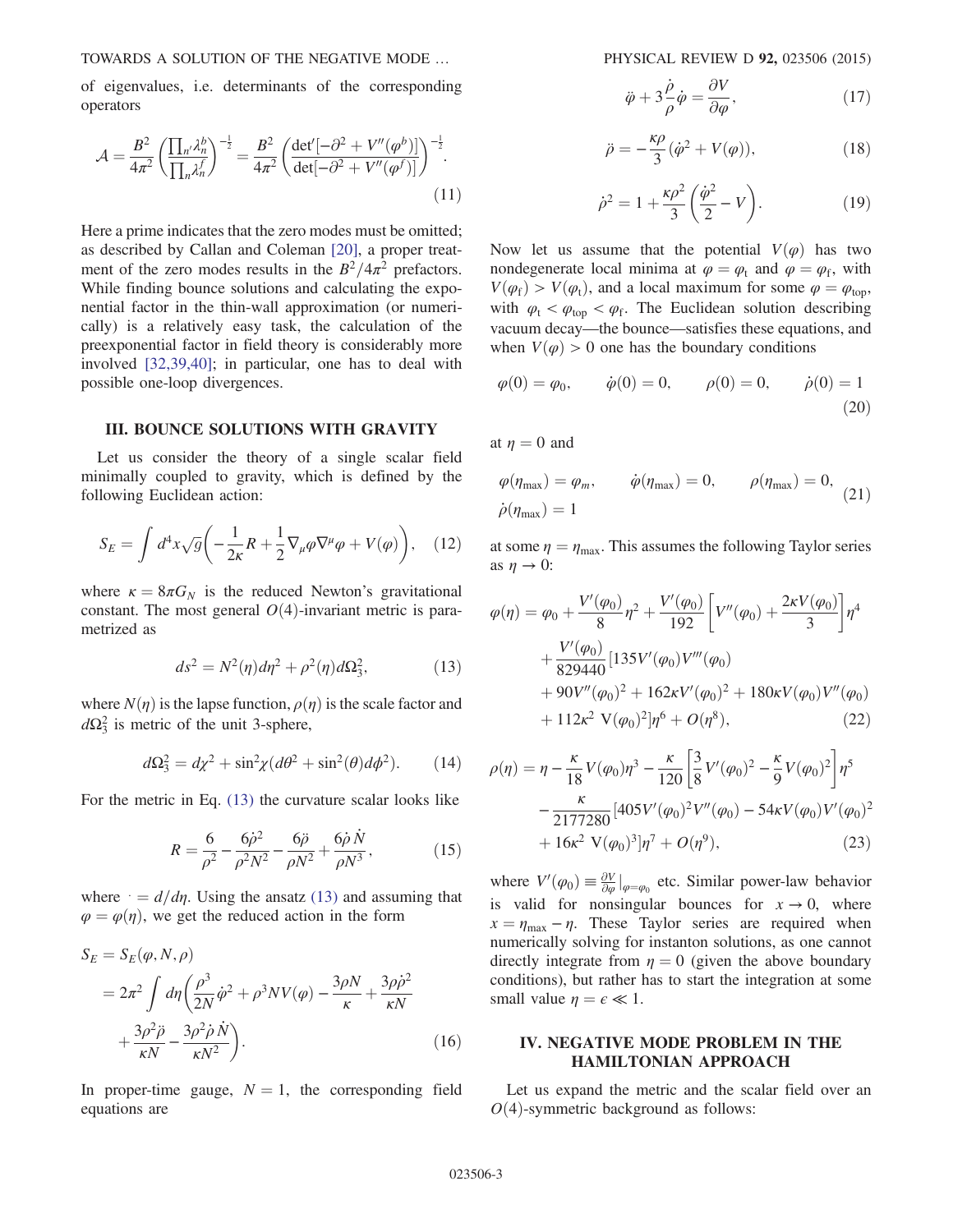of eigenvalues, i.e. determinants of the corresponding operators

$$
\mathcal{A} = \frac{B^2}{4\pi^2} \left( \frac{\prod_{n'} \lambda_n^b}{\prod_n \lambda_n^f} \right)^{-\frac{1}{2}} = \frac{B^2}{4\pi^2} \left( \frac{\det'[-\partial^2 + V''(\varphi^b)]}{\det[-\partial^2 + V''(\varphi^f)]} \right)^{-\frac{1}{2}}.
$$
\n(11)

Here a prime indicates that the zero modes must be omitted; as described by Callan and Coleman [\[20\]](#page-14-10), a proper treatment of the zero modes results in the  $B^2/4\pi^2$  prefactors. While finding bounce solutions and calculating the exponential factor in the thin-wall approximation (or numerically) is a relatively easy task, the calculation of the preexponential factor in field theory is considerably more involved [\[32,39,40\]](#page-15-0); in particular, one has to deal with possible one-loop divergences.

## III. BOUNCE SOLUTIONS WITH GRAVITY

Let us consider the theory of a single scalar field minimally coupled to gravity, which is defined by the following Euclidean action:

$$
S_E = \int d^4x \sqrt{g} \left( -\frac{1}{2\kappa} R + \frac{1}{2} \nabla_\mu \varphi \nabla^\mu \varphi + V(\varphi) \right), \quad (12)
$$

<span id="page-2-0"></span>where  $\kappa = 8\pi G_N$  is the reduced Newton's gravitational constant. The most general  $O(4)$ -invariant metric is parametrized as

$$
ds^{2} = N^{2}(\eta) d\eta^{2} + \rho^{2}(\eta) d\Omega_{3}^{2},
$$
 (13)

where  $N(\eta)$  is the lapse function,  $\rho(\eta)$  is the scale factor and  $d\Omega_3^2$  is metric of the unit 3-sphere,

$$
d\Omega_3^2 = d\chi^2 + \sin^2\chi (d\theta^2 + \sin^2(\theta)d\phi^2). \tag{14}
$$

For the metric in Eq. [\(13\)](#page-2-0) the curvature scalar looks like

$$
R = \frac{6}{\rho^2} - \frac{6\dot{\rho}^2}{\rho^2 N^2} - \frac{6\ddot{\rho}}{\rho N^2} + \frac{6\dot{\rho}\,\dot{N}}{\rho N^3},\tag{15}
$$

where  $d/d\eta$ . Using the ansatz [\(13\)](#page-2-0) and assuming that  $\varphi = \varphi(\eta)$ , we get the reduced action in the form

$$
S_E = S_E(\varphi, N, \rho)
$$
  
=  $2\pi^2 \int d\eta \left( \frac{\rho^3}{2N} \dot{\varphi}^2 + \rho^3 NV(\varphi) - \frac{3\rho N}{\kappa} + \frac{3\rho \dot{\rho}^2}{\kappa N} + \frac{3\rho^2 \ddot{\rho}}{\kappa N} - \frac{3\rho^2 \dot{\rho} \dot{N}}{\kappa N^2} \right).$  (16)

<span id="page-2-2"></span>In proper-time gauge,  $N = 1$ , the corresponding field equations are

$$
\ddot{\varphi} + 3\frac{\dot{\rho}}{\rho}\dot{\varphi} = \frac{\partial V}{\partial \varphi},\qquad(17)
$$

<span id="page-2-3"></span>
$$
\ddot{\rho} = -\frac{\kappa \rho}{3} (\dot{\varphi}^2 + V(\varphi)), \tag{18}
$$

$$
\dot{\rho}^2 = 1 + \frac{\kappa \rho^2}{3} \left( \frac{\dot{\varphi}^2}{2} - V \right).
$$
 (19)

Now let us assume that the potential  $V(\varphi)$  has two nondegenerate local minima at  $\varphi = \varphi_t$  and  $\varphi = \varphi_f$ , with  $V(\varphi_f) > V(\varphi_t)$ , and a local maximum for some  $\varphi = \varphi_{\text{top}}$ , with  $\varphi_t < \varphi_{top} < \varphi_f$ . The Euclidean solution describing vacuum decay—the bounce—satisfies these equations, and when  $V(\varphi) > 0$  one has the boundary conditions

<span id="page-2-4"></span>
$$
\varphi(0) = \varphi_0, \qquad \dot{\varphi}(0) = 0, \qquad \rho(0) = 0, \qquad \dot{\rho}(0) = 1
$$
\n(20)

<span id="page-2-7"></span>at  $\eta = 0$  and

$$
\varphi(\eta_{\text{max}}) = \varphi_m, \qquad \dot{\varphi}(\eta_{\text{max}}) = 0, \qquad \rho(\eta_{\text{max}}) = 0, \n\dot{\rho}(\eta_{\text{max}}) = 1
$$
\n(21)

<span id="page-2-5"></span>at some  $\eta = \eta_{\text{max}}$ . This assumes the following Taylor series as  $\eta \rightarrow 0$ :

$$
\varphi(\eta) = \varphi_0 + \frac{V'(\varphi_0)}{8} \eta^2 + \frac{V'(\varphi_0)}{192} \left[ V''(\varphi_0) + \frac{2\kappa V(\varphi_0)}{3} \right] \eta^4
$$
  
+ 
$$
\frac{V'(\varphi_0)}{829440} [135 V'(\varphi_0) V'''(\varphi_0)
$$
  
+ 
$$
90 V''(\varphi_0)^2 + 162 \kappa V'(\varphi_0)^2 + 180 \kappa V(\varphi_0) V''(\varphi_0)
$$
  
+ 
$$
112 \kappa^2 V(\varphi_0)^2] \eta^6 + O(\eta^8), \qquad (22)
$$

<span id="page-2-6"></span>
$$
\rho(\eta) = \eta - \frac{\kappa}{18} V(\varphi_0) \eta^3 - \frac{\kappa}{120} \left[ \frac{3}{8} V'(\varphi_0)^2 - \frac{\kappa}{9} V(\varphi_0)^2 \right] \eta^5
$$
  
 
$$
- \frac{\kappa}{2177280} [405 V'(\varphi_0)^2 V''(\varphi_0) - 54 \kappa V(\varphi_0) V'(\varphi_0)^2
$$
  
 
$$
+ 16 \kappa^2 V(\varphi_0)^3] \eta^7 + O(\eta^9), \qquad (23)
$$

where  $V'(\varphi_0) \equiv \frac{\partial V}{\partial \varphi}|_{\varphi = \varphi_0}$  etc. Similar power-law behavior is valid for nonsingular bounces for  $x \to 0$ , where  $x = \eta_{\text{max}} - \eta$ . These Taylor series are required when numerically solving for instanton solutions, as one cannot directly integrate from  $\eta = 0$  (given the above boundary conditions), but rather has to start the integration at some small value  $\eta = \epsilon \ll 1$ .

# <span id="page-2-1"></span>IV. NEGATIVE MODE PROBLEM IN THE HAMILTONIAN APPROACH

<span id="page-2-8"></span>Let us expand the metric and the scalar field over an  $O(4)$ -symmetric background as follows: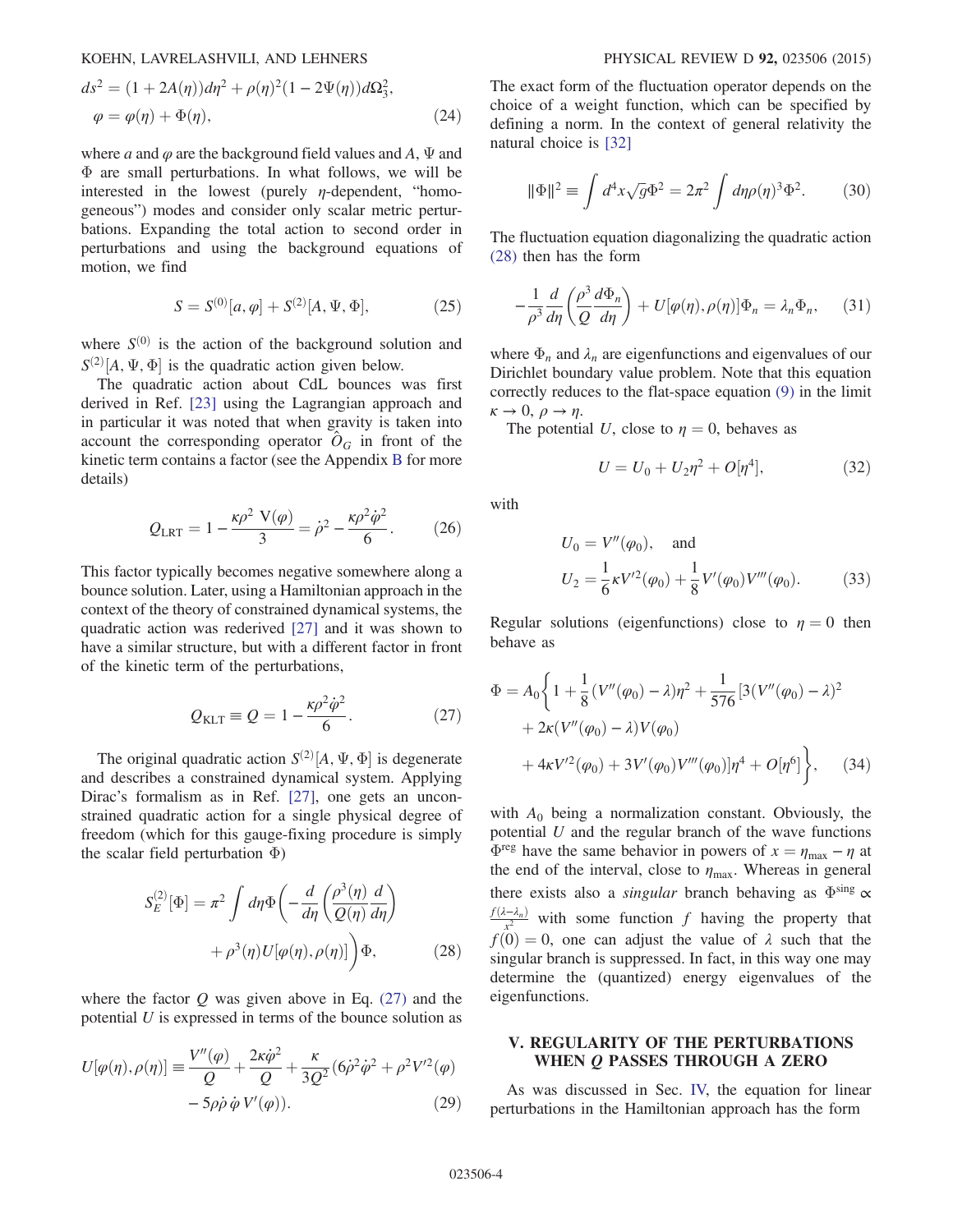$$
ds^{2} = (1 + 2A(\eta))d\eta^{2} + \rho(\eta)^{2}(1 - 2\Psi(\eta))d\Omega_{3}^{2},
$$
  

$$
\varphi = \varphi(\eta) + \Phi(\eta),
$$
 (24)

where a and  $\varphi$  are the background field values and A,  $\Psi$  and Φ are small perturbations. In what follows, we will be interested in the lowest (purely  $\eta$ -dependent, "homogeneous") modes and consider only scalar metric perturbations. Expanding the total action to second order in perturbations and using the background equations of motion, we find

$$
S = S^{(0)}[a, \varphi] + S^{(2)}[A, \Psi, \Phi], \tag{25}
$$

where  $S^{(0)}$  is the action of the background solution and  $S^{(2)}[A, \Psi, \Phi]$  is the quadratic action given below.

<span id="page-3-0"></span>The quadratic action about CdL bounces was first derived in Ref. [\[23\]](#page-14-4) using the Lagrangian approach and in particular it was noted that when gravity is taken into account the corresponding operator  $\hat{O}_G$  in front of the kinetic term contains a factor (see the Appendix [B](#page-11-0) for more details)

$$
Q_{\text{LRT}} = 1 - \frac{\kappa \rho^2 \ V(\varphi)}{3} = \dot{\rho}^2 - \frac{\kappa \rho^2 \dot{\varphi}^2}{6}.
$$
 (26)

<span id="page-3-1"></span>This factor typically becomes negative somewhere along a bounce solution. Later, using a Hamiltonian approach in the context of the theory of constrained dynamical systems, the quadratic action was rederived [\[27\]](#page-14-6) and it was shown to have a similar structure, but with a different factor in front of the kinetic term of the perturbations,

$$
Q_{\text{KLT}} \equiv Q = 1 - \frac{\kappa \rho^2 \dot{\varphi}^2}{6}.
$$
 (27)

<span id="page-3-2"></span>The original quadratic action  $S^{(2)}[A, \Psi, \Phi]$  is degenerate and describes a constrained dynamical system. Applying Dirac's formalism as in Ref. [\[27\],](#page-14-6) one gets an unconstrained quadratic action for a single physical degree of freedom (which for this gauge-fixing procedure is simply the scalar field perturbation Φ)

$$
S_{E}^{(2)}[\Phi] = \pi^{2} \int d\eta \Phi\left(-\frac{d}{d\eta} \left(\frac{\rho^{3}(\eta)}{Q(\eta)} \frac{d}{d\eta}\right) + \rho^{3}(\eta) U[\varphi(\eta), \rho(\eta)]\right) \Phi, \tag{28}
$$

<span id="page-3-3"></span>where the factor  $Q$  was given above in Eq. [\(27\)](#page-3-1) and the potential U is expressed in terms of the bounce solution as

$$
U[\varphi(\eta), \rho(\eta)] \equiv \frac{V''(\varphi)}{Q} + \frac{2\kappa \dot{\varphi}^2}{Q} + \frac{\kappa}{3Q^2} (6\dot{\rho}^2 \dot{\varphi}^2 + \rho^2 V'^2(\varphi) - 5\rho \dot{\rho} \dot{\varphi} V'(\varphi)).
$$
\n(29)

The exact form of the fluctuation operator depends on the choice of a weight function, which can be specified by defining a norm. In the context of general relativity the natural choice is [\[32\]](#page-15-0)

$$
\|\Phi\|^2 \equiv \int d^4x \sqrt{g}\Phi^2 = 2\pi^2 \int d\eta \rho(\eta)^3 \Phi^2. \tag{30}
$$

<span id="page-3-6"></span>The fluctuation equation diagonalizing the quadratic action [\(28\)](#page-3-2) then has the form

$$
-\frac{1}{\rho^3}\frac{d}{d\eta}\left(\frac{\rho^3}{Q}\frac{d\Phi_n}{d\eta}\right) + U[\varphi(\eta),\rho(\eta)]\Phi_n = \lambda_n\Phi_n, \quad (31)
$$

where  $\Phi_n$  and  $\lambda_n$  are eigenfunctions and eigenvalues of our Dirichlet boundary value problem. Note that this equation correctly reduces to the flat-space equation [\(9\)](#page-1-3) in the limit  $\kappa \to 0$ ,  $\rho \to \eta$ .

The potential U, close to  $\eta = 0$ , behaves as

$$
U = U_0 + U_2 \eta^2 + O[\eta^4], \tag{32}
$$

with

$$
U_0 = V''(\varphi_0), \text{ and}
$$
  
\n
$$
U_2 = \frac{1}{6} \kappa V'^2(\varphi_0) + \frac{1}{8} V'(\varphi_0) V'''(\varphi_0).
$$
 (33)

Regular solutions (eigenfunctions) close to  $\eta = 0$  then behave as

$$
\Phi = A_0 \left\{ 1 + \frac{1}{8} (V''(\varphi_0) - \lambda) \eta^2 + \frac{1}{576} [3(V''(\varphi_0) - \lambda)^2 + 2\kappa (V''(\varphi_0) - \lambda) V(\varphi_0) + 4\kappa V'^2(\varphi_0) + 3V'(\varphi_0) V'''(\varphi_0) ] \eta^4 + O[\eta^6] \right\}, \quad (34)
$$

with  $A_0$  being a normalization constant. Obviously, the potential  $U$  and the regular branch of the wave functions  $\Phi^{\text{reg}}$  have the same behavior in powers of  $x = \eta_{\text{max}} - \eta$  at the end of the interval, close to  $\eta_{\text{max}}$ . Whereas in general there exists also a *singular* branch behaving as  $\Phi^{\text{sing}}$   $\propto$  $\frac{f(\lambda-\lambda_n)}{x^2}$  with some function f having the property that  $f(0) = 0$ , one can adjust the value of  $\lambda$  such that the singular branch is suppressed. In fact, in this way one may determine the (quantized) energy eigenvalues of the eigenfunctions.

# <span id="page-3-5"></span>V. REGULARITY OF THE PERTURBATIONS WHEN Q PASSES THROUGH A ZERO

<span id="page-3-4"></span>As was discussed in Sec. [IV,](#page-2-1) the equation for linear perturbations in the Hamiltonian approach has the form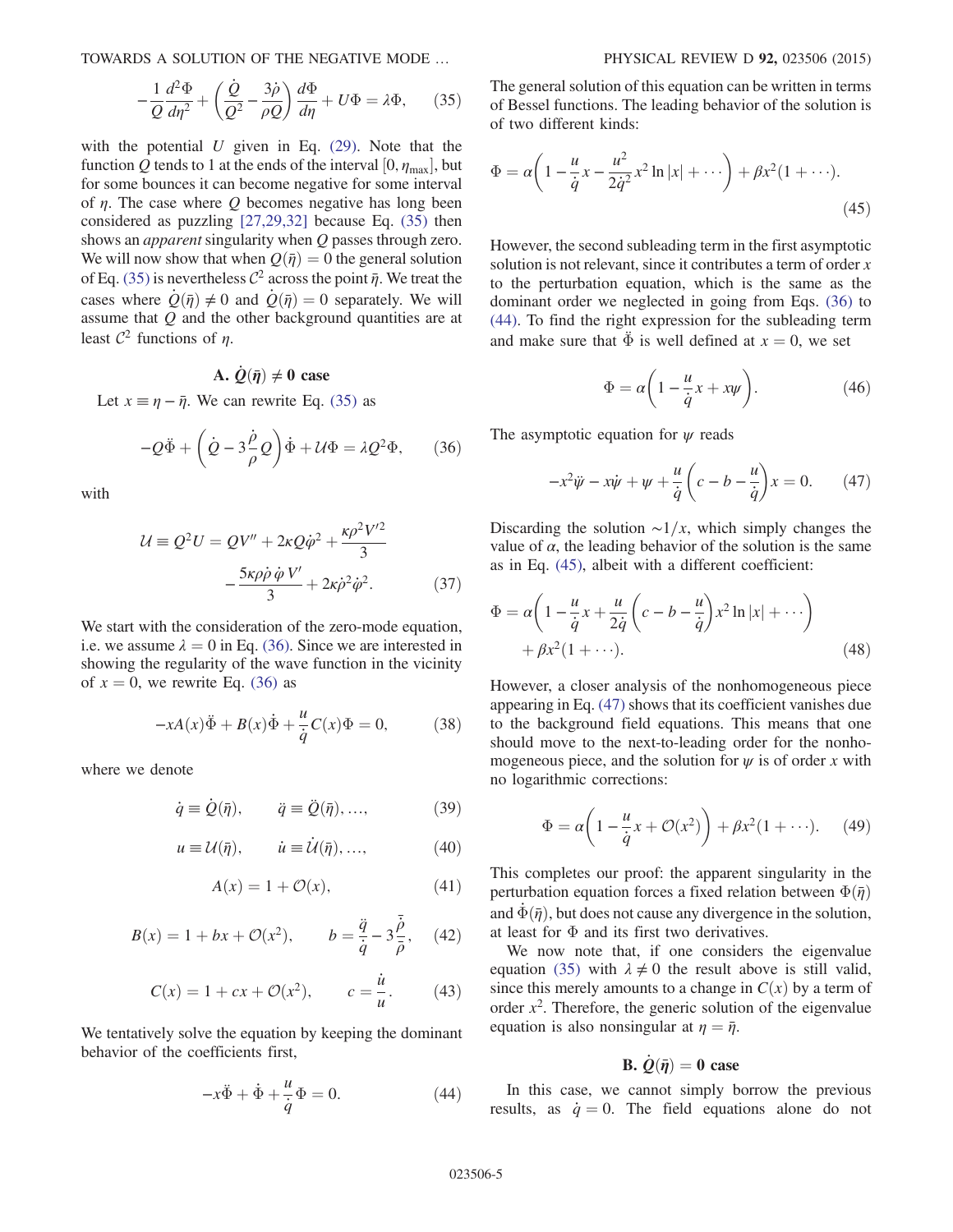TOWARDS A SOLUTION OF THE NEGATIVE MODE … PHYSICAL REVIEW D 92, 023506 (2015)

$$
-\frac{1}{Q}\frac{d^2\Phi}{d\eta^2} + \left(\frac{\dot{Q}}{Q^2} - \frac{3\dot{\rho}}{\rho Q}\right)\frac{d\Phi}{d\eta} + U\Phi = \lambda\Phi,\qquad(35)
$$

with the potential  $U$  given in Eq. [\(29\)](#page-3-3). Note that the function Q tends to 1 at the ends of the interval  $[0, \eta_{\text{max}}]$ , but for some bounces it can become negative for some interval of  $\eta$ . The case where Q becomes negative has long been considered as puzzling [\[27,29,32\]](#page-14-6) because Eq. [\(35\)](#page-3-4) then shows an *apparent* singularity when Q passes through zero. We will now show that when  $Q(\bar{\eta})=0$  the general solution of Eq. [\(35\)](#page-3-4) is nevertheless  $C^2$  across the point  $\bar{\eta}$ . We treat the cases where  $\dot{Q}(\bar{\eta}) \neq 0$  and  $\dot{Q}(\bar{\eta}) = 0$  separately. We will assume that Q and the other background quantities are at least  $C^2$  functions of *n*.

A.  $\dot{Q}(\bar{\eta}) \neq 0$  case

<span id="page-4-0"></span>Let  $x \equiv \eta - \bar{\eta}$ . We can rewrite Eq. [\(35\)](#page-3-4) as

$$
-Q\ddot{\Phi} + \left(\dot{Q} - 3\frac{\dot{\rho}}{\rho}Q\right)\dot{\Phi} + \mathcal{U}\Phi = \lambda Q^2\Phi, \qquad (36)
$$

<span id="page-4-4"></span>with

$$
\mathcal{U} \equiv \mathcal{Q}^2 U = \mathcal{Q}V'' + 2\kappa \mathcal{Q}\dot{\varphi}^2 + \frac{\kappa \rho^2 V'^2}{3}
$$

$$
-\frac{5\kappa \rho \dot{\varphi} \dot{\varphi} V'}{3} + 2\kappa \dot{\rho}^2 \dot{\varphi}^2. \tag{37}
$$

We start with the consideration of the zero-mode equation, i.e. we assume  $\lambda = 0$  in Eq. [\(36\).](#page-4-0) Since we are interested in showing the regularity of the wave function in the vicinity of  $x = 0$ , we rewrite Eq. [\(36\)](#page-4-0) as

$$
-xA(x)\ddot{\Phi} + B(x)\dot{\Phi} + \frac{u}{\dot{q}}C(x)\Phi = 0, \qquad (38)
$$

where we denote

$$
\dot{q} \equiv \dot{Q}(\bar{\eta}), \qquad \ddot{q} \equiv \ddot{Q}(\bar{\eta}), \dots,
$$
 (39)

$$
u \equiv \mathcal{U}(\bar{\eta}), \qquad \dot{u} \equiv \dot{\mathcal{U}}(\bar{\eta}), ..., \qquad (40)
$$

$$
A(x) = 1 + \mathcal{O}(x),\tag{41}
$$

$$
B(x) = 1 + bx + \mathcal{O}(x^2), \qquad b = \frac{\ddot{q}}{\dot{q}} - 3\frac{\ddot{\dot{\rho}}}{\dot{\rho}}, \quad (42)
$$

$$
C(x) = 1 + cx + \mathcal{O}(x^2), \qquad c = \frac{\dot{u}}{u}.
$$
 (43)

<span id="page-4-1"></span>We tentatively solve the equation by keeping the dominant behavior of the coefficients first,

$$
-x\ddot{\Phi} + \dot{\Phi} + \frac{u}{\dot{q}}\Phi = 0.
$$
 (44)

<span id="page-4-2"></span>The general solution of this equation can be written in terms of Bessel functions. The leading behavior of the solution is of two different kinds:

$$
\Phi = \alpha \left( 1 - \frac{u}{\dot{q}} x - \frac{u^2}{2\dot{q}^2} x^2 \ln|x| + \cdots \right) + \beta x^2 (1 + \cdots).
$$
\n(45)

However, the second subleading term in the first asymptotic solution is not relevant, since it contributes a term of order  $x$ to the perturbation equation, which is the same as the dominant order we neglected in going from Eqs. [\(36\)](#page-4-0) to [\(44\)](#page-4-1). To find the right expression for the subleading term and make sure that  $\ddot{\Phi}$  is well defined at  $x = 0$ , we set

$$
\Phi = \alpha \bigg( 1 - \frac{u}{\dot{q}} x + x \psi \bigg). \tag{46}
$$

<span id="page-4-3"></span>The asymptotic equation for  $\psi$  reads

$$
-x^2\ddot{\psi} - x\dot{\psi} + \psi + \frac{u}{\dot{q}}\left(c - b - \frac{u}{\dot{q}}\right)x = 0.
$$
 (47)

Discarding the solution  $\sim 1/x$ , which simply changes the value of  $\alpha$ , the leading behavior of the solution is the same as in Eq. [\(45\)](#page-4-2), albeit with a different coefficient:

$$
\Phi = \alpha \left( 1 - \frac{u}{\dot{q}} x + \frac{u}{2\dot{q}} \left( c - b - \frac{u}{\dot{q}} \right) x^2 \ln|x| + \cdots \right) + \beta x^2 (1 + \cdots).
$$
\n(48)

However, a closer analysis of the nonhomogeneous piece appearing in Eq. [\(47\)](#page-4-3) shows that its coefficient vanishes due to the background field equations. This means that one should move to the next-to-leading order for the nonhomogeneous piece, and the solution for  $\psi$  is of order x with no logarithmic corrections:

$$
\Phi = \alpha \left( 1 - \frac{u}{\dot{q}} x + \mathcal{O}(x^2) \right) + \beta x^2 (1 + \cdots). \tag{49}
$$

This completes our proof: the apparent singularity in the perturbation equation forces a fixed relation between  $\Phi(\bar{\eta})$ and  $\dot{\Phi}(\bar{\eta})$ , but does not cause any divergence in the solution, at least for  $\Phi$  and its first two derivatives.

We now note that, if one considers the eigenvalue equation [\(35\)](#page-3-4) with  $\lambda \neq 0$  the result above is still valid, since this merely amounts to a change in  $C(x)$  by a term of order  $x^2$ . Therefore, the generic solution of the eigenvalue equation is also nonsingular at  $\eta = \bar{\eta}$ .

# B.  $\dot{\theta}(\bar{\eta})=0$  case

In this case, we cannot simply borrow the previous results, as  $\dot{q} = 0$ . The field equations alone do not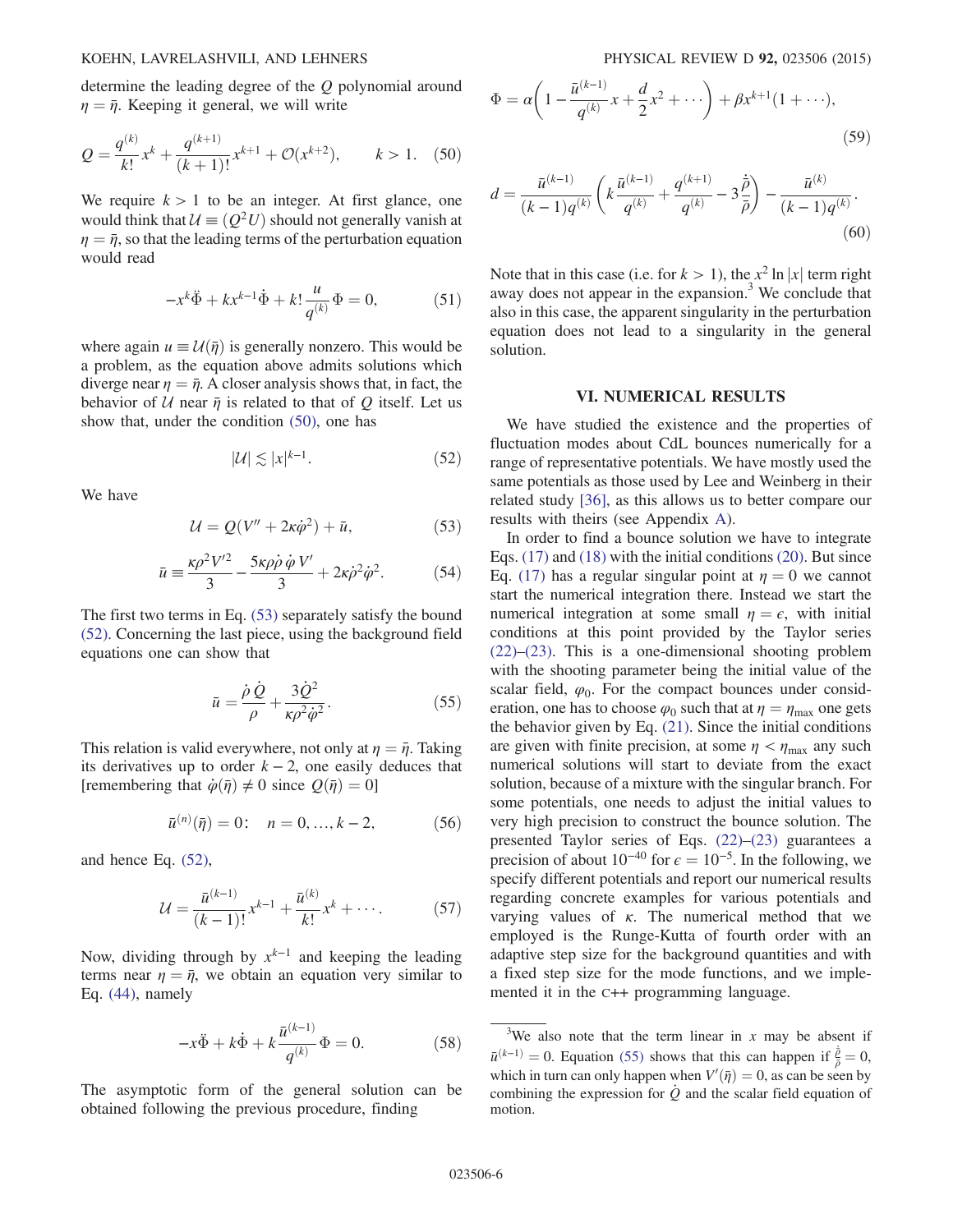<span id="page-5-0"></span>determine the leading degree of the Q polynomial around  $\eta = \bar{\eta}$ . Keeping it general, we will write

$$
Q = \frac{q^{(k)}}{k!} x^k + \frac{q^{(k+1)}}{(k+1)!} x^{k+1} + \mathcal{O}(x^{k+2}), \qquad k > 1. \tag{50}
$$

We require  $k > 1$  to be an integer. At first glance, one would think that  $U \equiv (O^2 U)$  should not generally vanish at  $\eta = \bar{\eta}$ , so that the leading terms of the perturbation equation would read

$$
-x^{k}\ddot{\Phi} + kx^{k-1}\dot{\Phi} + k!\frac{u}{q^{(k)}}\Phi = 0, \qquad (51)
$$

<span id="page-5-2"></span>where again  $u \equiv \mathcal{U}(\bar{\eta})$  is generally nonzero. This would be a problem, as the equation above admits solutions which diverge near  $\eta = \bar{\eta}$ . A closer analysis shows that, in fact, the behavior of U near  $\bar{\eta}$  is related to that of Q itself. Let us show that, under the condition [\(50\)](#page-5-0), one has

$$
|\mathcal{U}| \lesssim |x|^{k-1}.\tag{52}
$$

<span id="page-5-1"></span>We have

$$
\mathcal{U} = \mathcal{Q}(V'' + 2\kappa \dot{\varphi}^2) + \bar{u},\tag{53}
$$

$$
\bar{u} = \frac{\kappa \rho^2 V'^2}{3} - \frac{5\kappa \rho \dot{\rho} \dot{\phi} V'}{3} + 2\kappa \dot{\rho}^2 \dot{\phi}^2. \tag{54}
$$

<span id="page-5-3"></span>The first two terms in Eq. [\(53\)](#page-5-1) separately satisfy the bound [\(52\)](#page-5-2). Concerning the last piece, using the background field equations one can show that

$$
\bar{u} = \frac{\dot{\rho}\,\dot{Q}}{\rho} + \frac{3\dot{Q}^2}{\kappa\rho^2\dot{\varphi}^2}.
$$
\n(55)

This relation is valid everywhere, not only at  $\eta = \bar{\eta}$ . Taking its derivatives up to order  $k - 2$ , one easily deduces that [remembering that  $\dot{\varphi}(\bar{\eta}) \neq 0$  since  $Q(\bar{\eta}) = 0$ ]

$$
\bar{u}^{(n)}(\bar{\eta}) = 0: \quad n = 0, ..., k - 2,
$$
 (56)

and hence Eq. [\(52\),](#page-5-2)

$$
\mathcal{U} = \frac{\bar{u}^{(k-1)}}{(k-1)!} x^{k-1} + \frac{\bar{u}^{(k)}}{k!} x^k + \cdots
$$
 (57)

Now, dividing through by  $x^{k-1}$  and keeping the leading terms near  $\eta = \bar{\eta}$ , we obtain an equation very similar to Eq. [\(44\)](#page-4-1), namely

$$
-x\ddot{\Phi} + k\dot{\Phi} + k\frac{\bar{u}^{(k-1)}}{q^{(k)}}\Phi = 0.
$$
 (58)

The asymptotic form of the general solution can be obtained following the previous procedure, finding

$$
\Phi = \alpha \left( 1 - \frac{\bar{u}^{(k-1)}}{q^{(k)}} x + \frac{d}{2} x^2 + \cdots \right) + \beta x^{k+1} (1 + \cdots),\tag{59}
$$

$$
d = \frac{\bar{u}^{(k-1)}}{(k-1)q^{(k)}} \left( k \frac{\bar{u}^{(k-1)}}{q^{(k)}} + \frac{q^{(k+1)}}{q^{(k)}} - 3 \frac{\dot{\bar{\rho}}}{\bar{\rho}} \right) - \frac{\bar{u}^{(k)}}{(k-1)q^{(k)}}.
$$
\n(60)

Note that in this case (i.e. for  $k > 1$ ), the  $x^2 \ln |x|$  term right away does not appear in the expansion.<sup>3</sup> We conclude that also in this case, the apparent singularity in the perturbation equation does not lead to a singularity in the general solution.

## VI. NUMERICAL RESULTS

We have studied the existence and the properties of fluctuation modes about CdL bounces numerically for a range of representative potentials. We have mostly used the same potentials as those used by Lee and Weinberg in their related study [\[36\],](#page-15-3) as this allows us to better compare our results with theirs (see Appendix [A\)](#page-10-0).

In order to find a bounce solution we have to integrate Eqs. [\(17\)](#page-2-2) and [\(18\)](#page-2-3) with the initial conditions [\(20\).](#page-2-4) But since Eq. [\(17\)](#page-2-2) has a regular singular point at  $\eta = 0$  we cannot start the numerical integration there. Instead we start the numerical integration at some small  $\eta = \epsilon$ , with initial conditions at this point provided by the Taylor series [\(22\)](#page-2-5)–[\(23\).](#page-2-6) This is a one-dimensional shooting problem with the shooting parameter being the initial value of the scalar field,  $\varphi_0$ . For the compact bounces under consideration, one has to choose  $\varphi_0$  such that at  $\eta = \eta_{\text{max}}$  one gets the behavior given by Eq. [\(21\).](#page-2-7) Since the initial conditions are given with finite precision, at some  $\eta < \eta_{\text{max}}$  any such numerical solutions will start to deviate from the exact solution, because of a mixture with the singular branch. For some potentials, one needs to adjust the initial values to very high precision to construct the bounce solution. The presented Taylor series of Eqs. [\(22\)](#page-2-5)–[\(23\)](#page-2-6) guarantees a precision of about  $10^{-40}$  for  $\epsilon = 10^{-5}$ . In the following, we specify different potentials and report our numerical results regarding concrete examples for various potentials and varying values of  $\kappa$ . The numerical method that we employed is the Runge-Kutta of fourth order with an adaptive step size for the background quantities and with a fixed step size for the mode functions, and we implemented it in the C++ programming language.

<sup>&</sup>lt;sup>3</sup>We also note that the term linear in x may be absent if  $\bar{u}^{(k-1)} = 0$ . Equation [\(55\)](#page-5-3) shows that this can happen if  $\frac{\dot{\bar{\rho}}}{\bar{\rho}} = 0$ , which in turn can only happen when  $V'(\bar{\eta}) = 0$ , as can be seen by combining the expression for  $\dot{Q}$  and the scalar field equation of motion.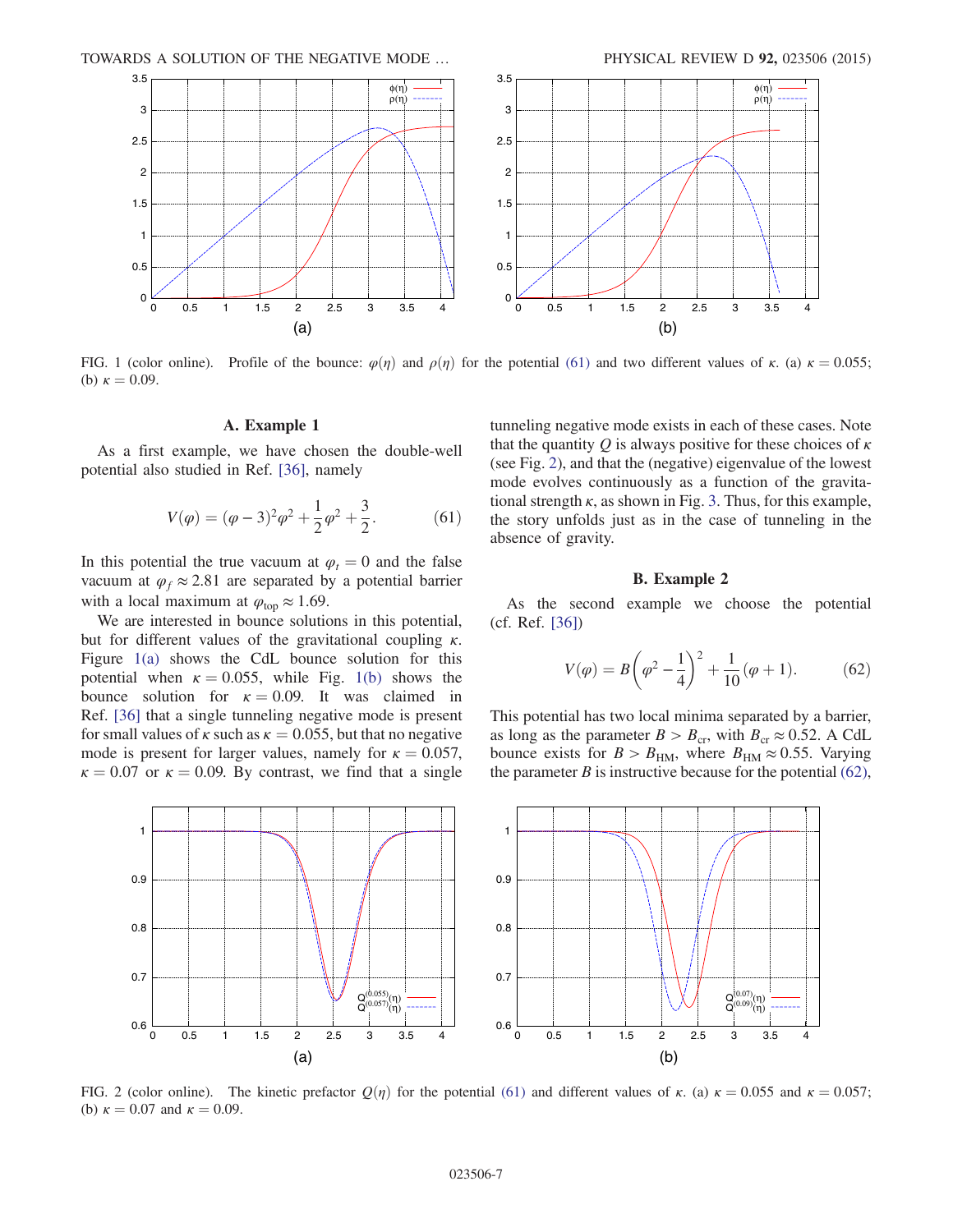<span id="page-6-0"></span>

FIG. 1 (color online). Profile of the bounce:  $\varphi(\eta)$  and  $\rho(\eta)$  for the potential [\(61\)](#page-6-3) and two different values of κ. (a)  $\kappa = 0.055$ ; (b)  $\kappa = 0.09$ .

### A. Example 1

<span id="page-6-3"></span>As a first example, we have chosen the double-well potential also studied in Ref. [\[36\]](#page-15-3), namely

$$
V(\varphi) = (\varphi - 3)^2 \varphi^2 + \frac{1}{2} \varphi^2 + \frac{3}{2}.
$$
 (61)

In this potential the true vacuum at  $\varphi_t = 0$  and the false vacuum at  $\varphi_f \approx 2.81$  are separated by a potential barrier with a local maximum at  $\varphi_{\text{top}} \approx 1.69$ .

We are interested in bounce solutions in this potential, but for different values of the gravitational coupling  $\kappa$ . Figure [1\(a\)](#page-6-0) shows the CdL bounce solution for this potential when  $\kappa = 0.055$ , while Fig. [1\(b\)](#page-6-0) shows the bounce solution for  $\kappa = 0.09$ . It was claimed in Ref. [\[36\]](#page-15-3) that a single tunneling negative mode is present for small values of  $\kappa$  such as  $\kappa = 0.055$ , but that no negative mode is present for larger values, namely for  $\kappa = 0.057$ ,  $\kappa = 0.07$  or  $\kappa = 0.09$ . By contrast, we find that a single tunneling negative mode exists in each of these cases. Note that the quantity Q is always positive for these choices of  $\kappa$ (see Fig. [2](#page-6-1)), and that the (negative) eigenvalue of the lowest mode evolves continuously as a function of the gravitational strength  $\kappa$ , as shown in Fig. [3.](#page-7-0) Thus, for this example, the story unfolds just as in the case of tunneling in the absence of gravity.

#### B. Example 2

<span id="page-6-2"></span>As the second example we choose the potential (cf. Ref. [\[36\]](#page-15-3))

$$
V(\varphi) = B\left(\varphi^2 - \frac{1}{4}\right)^2 + \frac{1}{10}(\varphi + 1). \tag{62}
$$

This potential has two local minima separated by a barrier, as long as the parameter  $B > B_{cr}$ , with  $B_{cr} \approx 0.52$ . A CdL bounce exists for  $B > B_{HM}$ , where  $B_{HM} \approx 0.55$ . Varying the parameter  $B$  is instructive because for the potential [\(62\)](#page-6-2),

<span id="page-6-1"></span>

FIG. 2 (color online). The kinetic prefactor  $Q(\eta)$  for the potential [\(61\)](#page-6-3) and different values of κ. (a)  $\kappa = 0.055$  and  $\kappa = 0.057$ ; (b)  $\kappa = 0.07$  and  $\kappa = 0.09$ .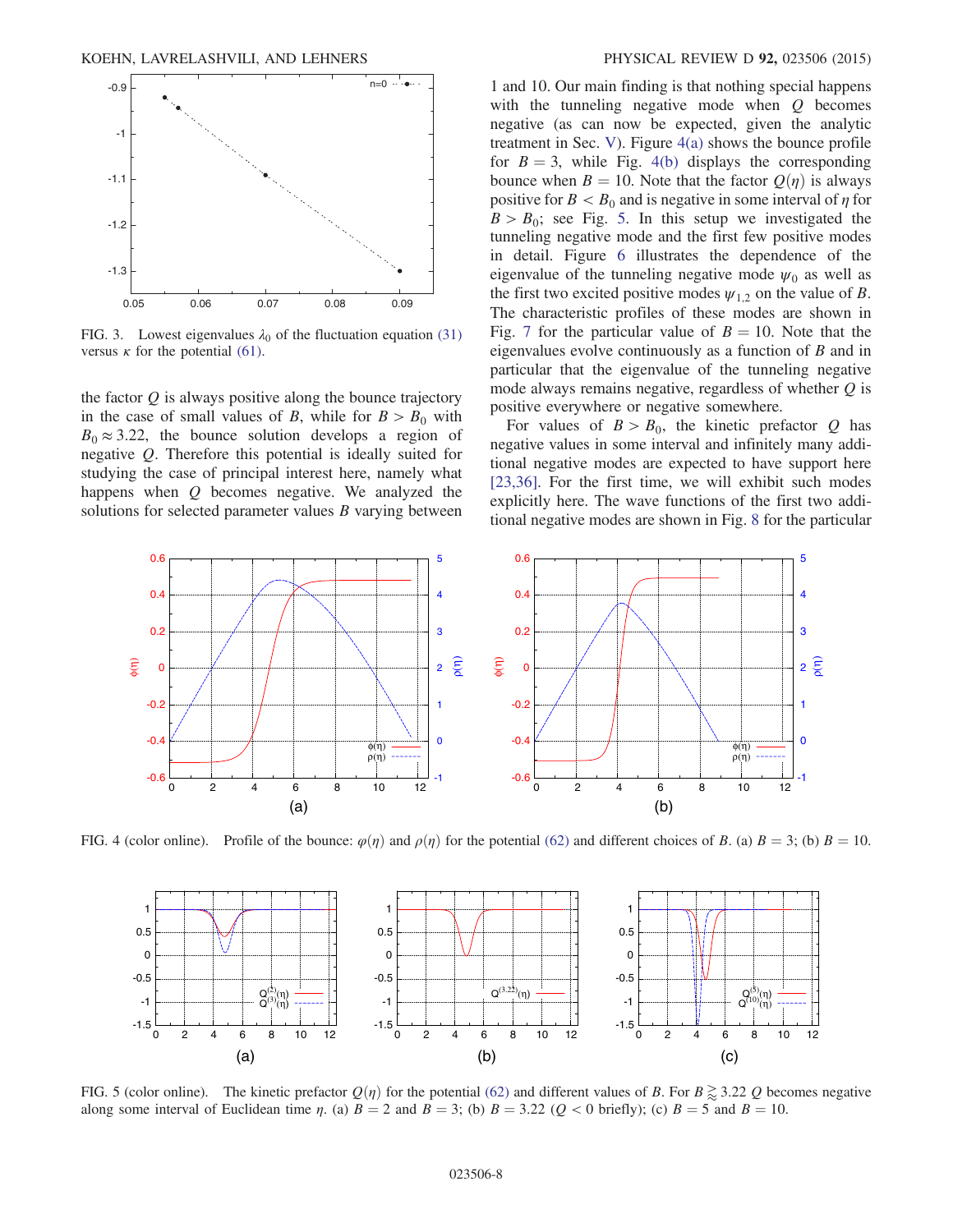<span id="page-7-0"></span>

FIG. 3. Lowest eigenvalues  $\lambda_0$  of the fluctuation equation [\(31\)](#page-3-6) versus  $\kappa$  for the potential [\(61\)](#page-6-3).

the factor  $\hat{O}$  is always positive along the bounce trajectory in the case of small values of B, while for  $B > B_0$  with  $B_0 \approx 3.22$ , the bounce solution develops a region of negative Q. Therefore this potential is ideally suited for studying the case of principal interest here, namely what happens when Q becomes negative. We analyzed the solutions for selected parameter values  $B$  varying between

1 and 10. Our main finding is that nothing special happens with the tunneling negative mode when  $Q$  becomes negative (as can now be expected, given the analytic treatment in Sec. [V](#page-3-5)). Figure [4\(a\)](#page-7-1) shows the bounce profile for  $B = 3$ , while Fig. [4\(b\)](#page-7-1) displays the corresponding bounce when  $B = 10$ . Note that the factor  $Q(\eta)$  is always positive for  $B < B_0$  and is negative in some interval of  $\eta$  for  $B > B_0$ ; see Fig. [5](#page-7-2). In this setup we investigated the tunneling negative mode and the first few positive modes in detail. Figure [6](#page-8-0) illustrates the dependence of the eigenvalue of the tunneling negative mode  $\psi_0$  as well as the first two excited positive modes  $\psi_{1,2}$  on the value of B. The characteristic profiles of these modes are shown in Fig. [7](#page-8-1) for the particular value of  $B = 10$ . Note that the eigenvalues evolve continuously as a function of  $B$  and in particular that the eigenvalue of the tunneling negative mode always remains negative, regardless of whether  $\hat{O}$  is positive everywhere or negative somewhere.

For values of  $B > B_0$ , the kinetic prefactor Q has negative values in some interval and infinitely many additional negative modes are expected to have support here [\[23,36\]](#page-14-4). For the first time, we will exhibit such modes explicitly here. The wave functions of the first two additional negative modes are shown in Fig. [8](#page-8-2) for the particular

<span id="page-7-1"></span>

FIG. 4 (color online). Profile of the bounce:  $\varphi(\eta)$  and  $\rho(\eta)$  for the potential [\(62\)](#page-6-2) and different choices of B. (a)  $B = 3$ ; (b)  $B = 10$ .

<span id="page-7-2"></span>

FIG. 5 (color online). The kinetic prefactor  $Q(\eta)$  for the potential [\(62\)](#page-6-2) and different values of B. For  $B \ge 3.22$  Q becomes negative along some interval of Euclidean time  $\eta$ . (a)  $B = 2$  and  $B = 3$ ; (b)  $B = 3.22$  (Q < 0 briefly); (c)  $B = 5$  and  $B = 10$ .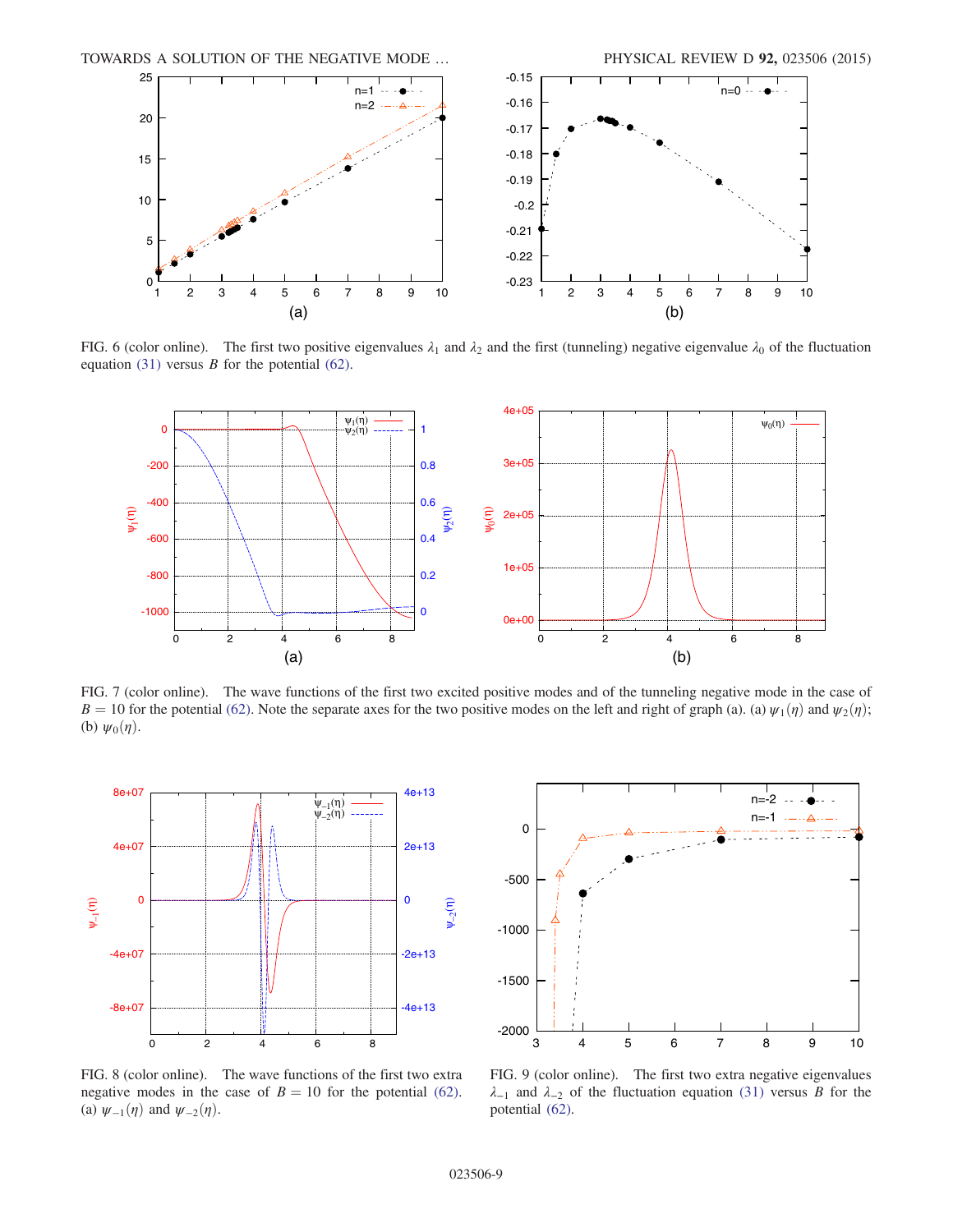<span id="page-8-0"></span>



FIG. 6 (color online). The first two positive eigenvalues  $\lambda_1$  and  $\lambda_2$  and the first (tunneling) negative eigenvalue  $\lambda_0$  of the fluctuation equation [\(31\)](#page-3-6) versus  $B$  for the potential [\(62\).](#page-6-2)

<span id="page-8-1"></span>

FIG. 7 (color online). The wave functions of the first two excited positive modes and of the tunneling negative mode in the case of  $B = 10$  for the potential [\(62\)](#page-6-2). Note the separate axes for the two positive modes on the left and right of graph (a). (a)  $\psi_1(\eta)$  and  $\psi_2(\eta)$ ; (b)  $\psi_0(\eta)$ .

<span id="page-8-2"></span>

FIG. 8 (color online). The wave functions of the first two extra negative modes in the case of  $B = 10$  for the potential [\(62\).](#page-6-2) (a)  $\psi_{-1}(\eta)$  and  $\psi_{-2}(\eta)$ .

<span id="page-8-3"></span>

FIG. 9 (color online). The first two extra negative eigenvalues  $\lambda_{-1}$  and  $\lambda_{-2}$  of the fluctuation equation [\(31\)](#page-3-6) versus B for the potential [\(62\).](#page-6-2)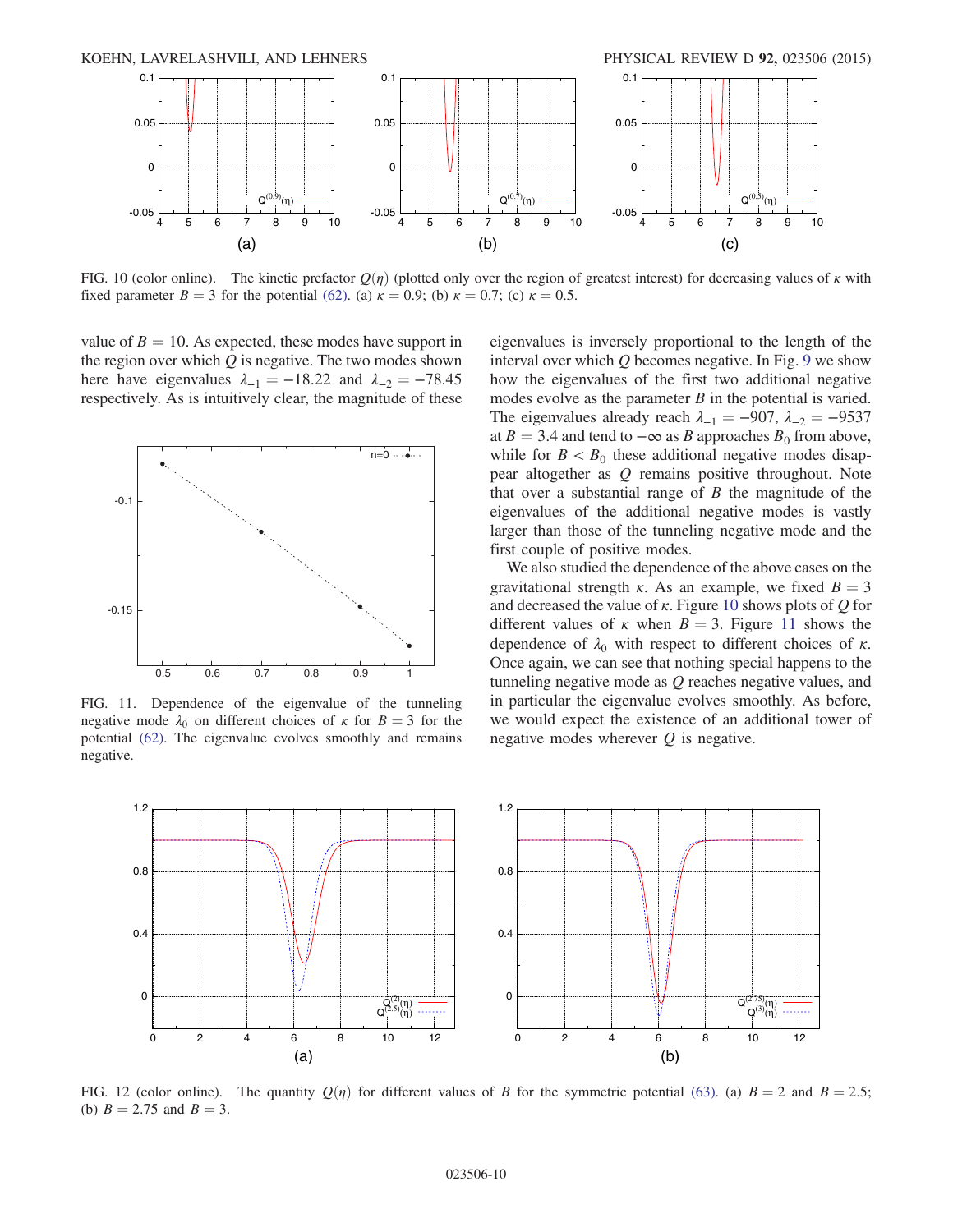<span id="page-9-0"></span>

FIG. 10 (color online). The kinetic prefactor  $Q(\eta)$  (plotted only over the region of greatest interest) for decreasing values of  $\kappa$  with fixed parameter  $B = 3$  for the potential [\(62\)](#page-6-2). (a)  $\kappa = 0.9$ ; (b)  $\kappa = 0.7$ ; (c)  $\kappa = 0.5$ .

value of  $B = 10$ . As expected, these modes have support in the region over which  $Q$  is negative. The two modes shown here have eigenvalues  $\lambda_{-1} = -18.22$  and  $\lambda_{-2} = -78.45$ respectively. As is intuitively clear, the magnitude of these

<span id="page-9-1"></span>

FIG. 11. Dependence of the eigenvalue of the tunneling negative mode  $\lambda_0$  on different choices of  $\kappa$  for  $B = 3$  for the potential [\(62\)](#page-6-2). The eigenvalue evolves smoothly and remains negative.

eigenvalues is inversely proportional to the length of the interval over which  $Q$  becomes negative. In Fig. [9](#page-8-3) we show how the eigenvalues of the first two additional negative modes evolve as the parameter  $B$  in the potential is varied. The eigenvalues already reach  $\lambda_{-1} = -907$ ,  $\lambda_{-2} = -9537$ at  $B = 3.4$  and tend to  $-\infty$  as B approaches  $B_0$  from above, while for  $B < B_0$  these additional negative modes disappear altogether as Q remains positive throughout. Note that over a substantial range of  $B$  the magnitude of the eigenvalues of the additional negative modes is vastly larger than those of the tunneling negative mode and the first couple of positive modes.

We also studied the dependence of the above cases on the gravitational strength  $\kappa$ . As an example, we fixed  $B = 3$ and decreased the value of  $\kappa$ . Figure [10](#page-9-0) shows plots of  $Q$  for different values of  $\kappa$  when  $B = 3$ . Figure [11](#page-9-1) shows the dependence of  $\lambda_0$  with respect to different choices of κ. Once again, we can see that nothing special happens to the tunneling negative mode as  $Q$  reaches negative values, and in particular the eigenvalue evolves smoothly. As before, we would expect the existence of an additional tower of negative modes wherever Q is negative.

<span id="page-9-2"></span>

FIG. 12 (color online). The quantity  $Q(\eta)$  for different values of B for the symmetric potential [\(63\).](#page-10-1) (a)  $B = 2$  and  $B = 2.5$ ; (b)  $B = 2.75$  and  $B = 3$ .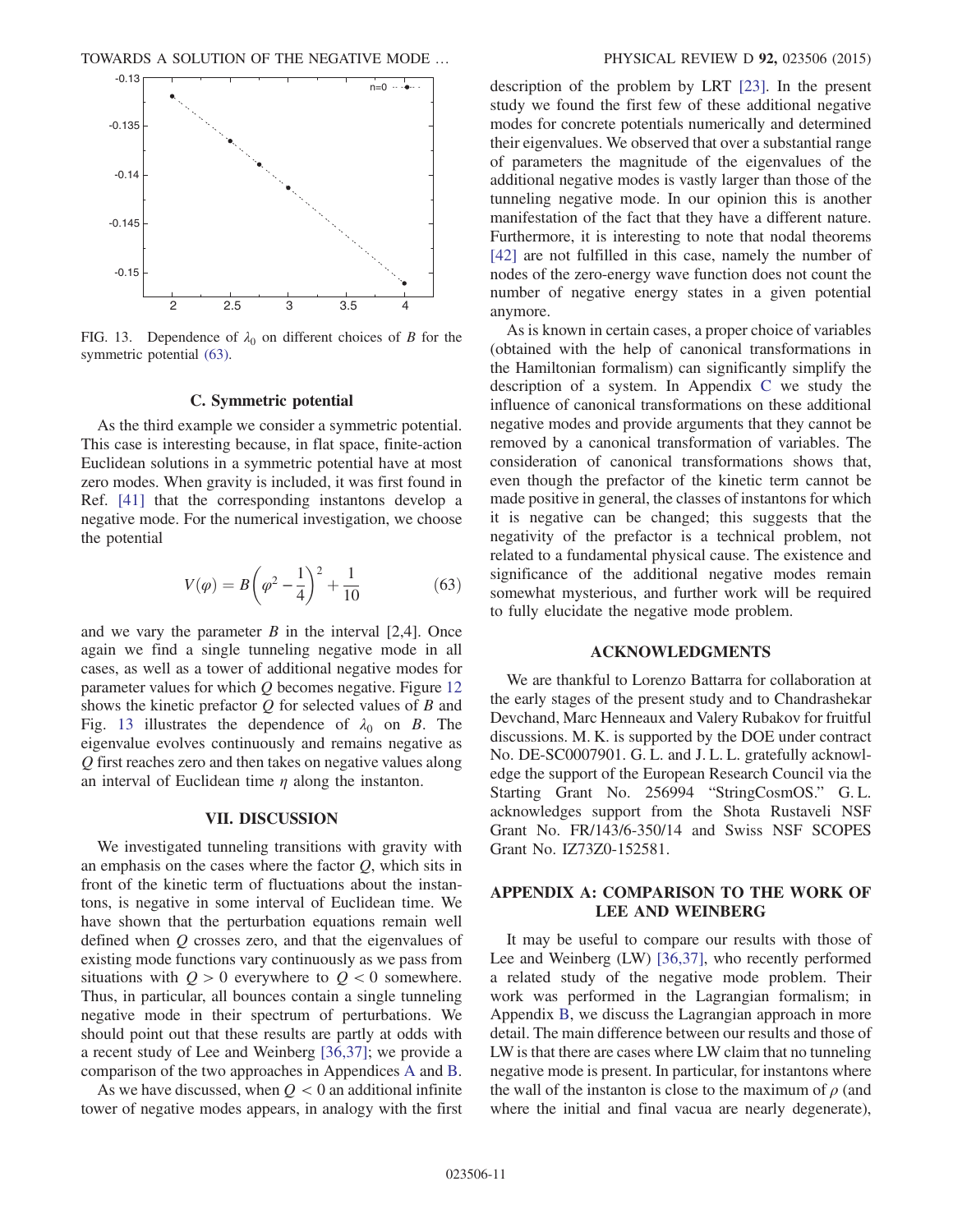<span id="page-10-2"></span>

FIG. 13. Dependence of  $\lambda_0$  on different choices of B for the symmetric potential  $(63)$ .

#### C. Symmetric potential

As the third example we consider a symmetric potential. This case is interesting because, in flat space, finite-action Euclidean solutions in a symmetric potential have at most zero modes. When gravity is included, it was first found in Ref. [\[41\]](#page-15-4) that the corresponding instantons develop a negative mode. For the numerical investigation, we choose the potential

$$
V(\varphi) = B\left(\varphi^2 - \frac{1}{4}\right)^2 + \frac{1}{10}
$$
 (63)

<span id="page-10-1"></span>and we vary the parameter  $B$  in the interval [2,4]. Once again we find a single tunneling negative mode in all cases, as well as a tower of additional negative modes for parameter values for which Q becomes negative. Figure [12](#page-9-2) shows the kinetic prefactor  $Q$  for selected values of  $B$  and Fig. [13](#page-10-2) illustrates the dependence of  $\lambda_0$  on B. The eigenvalue evolves continuously and remains negative as Q first reaches zero and then takes on negative values along an interval of Euclidean time  $\eta$  along the instanton.

#### VII. DISCUSSION

We investigated tunneling transitions with gravity with an emphasis on the cases where the factor  $Q$ , which sits in front of the kinetic term of fluctuations about the instantons, is negative in some interval of Euclidean time. We have shown that the perturbation equations remain well defined when Q crosses zero, and that the eigenvalues of existing mode functions vary continuously as we pass from situations with  $Q > 0$  everywhere to  $Q < 0$  somewhere. Thus, in particular, all bounces contain a single tunneling negative mode in their spectrum of perturbations. We should point out that these results are partly at odds with a recent study of Lee and Weinberg [\[36,37\]](#page-15-3); we provide a comparison of the two approaches in Appendices [A](#page-10-0) and [B](#page-11-0).

As we have discussed, when  $Q < 0$  an additional infinite tower of negative modes appears, in analogy with the first description of the problem by LRT [\[23\]](#page-14-4). In the present study we found the first few of these additional negative modes for concrete potentials numerically and determined their eigenvalues. We observed that over a substantial range of parameters the magnitude of the eigenvalues of the additional negative modes is vastly larger than those of the tunneling negative mode. In our opinion this is another manifestation of the fact that they have a different nature. Furthermore, it is interesting to note that nodal theorems [\[42\]](#page-15-5) are not fulfilled in this case, namely the number of nodes of the zero-energy wave function does not count the number of negative energy states in a given potential anymore.

As is known in certain cases, a proper choice of variables (obtained with the help of canonical transformations in the Hamiltonian formalism) can significantly simplify the description of a system. In Appendix [C](#page-12-0) we study the influence of canonical transformations on these additional negative modes and provide arguments that they cannot be removed by a canonical transformation of variables. The consideration of canonical transformations shows that, even though the prefactor of the kinetic term cannot be made positive in general, the classes of instantons for which it is negative can be changed; this suggests that the negativity of the prefactor is a technical problem, not related to a fundamental physical cause. The existence and significance of the additional negative modes remain somewhat mysterious, and further work will be required to fully elucidate the negative mode problem.

#### ACKNOWLEDGMENTS

We are thankful to Lorenzo Battarra for collaboration at the early stages of the present study and to Chandrashekar Devchand, Marc Henneaux and Valery Rubakov for fruitful discussions. M. K. is supported by the DOE under contract No. DE-SC0007901. G. L. and J. L. L. gratefully acknowledge the support of the European Research Council via the Starting Grant No. 256994 "StringCosmOS." G. L. acknowledges support from the Shota Rustaveli NSF Grant No. FR/143/6-350/14 and Swiss NSF SCOPES Grant No. IZ73Z0-152581.

# <span id="page-10-0"></span>APPENDIX A: COMPARISON TO THE WORK OF LEE AND WEINBERG

It may be useful to compare our results with those of Lee and Weinberg (LW) [\[36,37\]](#page-15-3), who recently performed a related study of the negative mode problem. Their work was performed in the Lagrangian formalism; in Appendix [B](#page-11-0), we discuss the Lagrangian approach in more detail. The main difference between our results and those of LW is that there are cases where LW claim that no tunneling negative mode is present. In particular, for instantons where the wall of the instanton is close to the maximum of  $\rho$  (and where the initial and final vacua are nearly degenerate),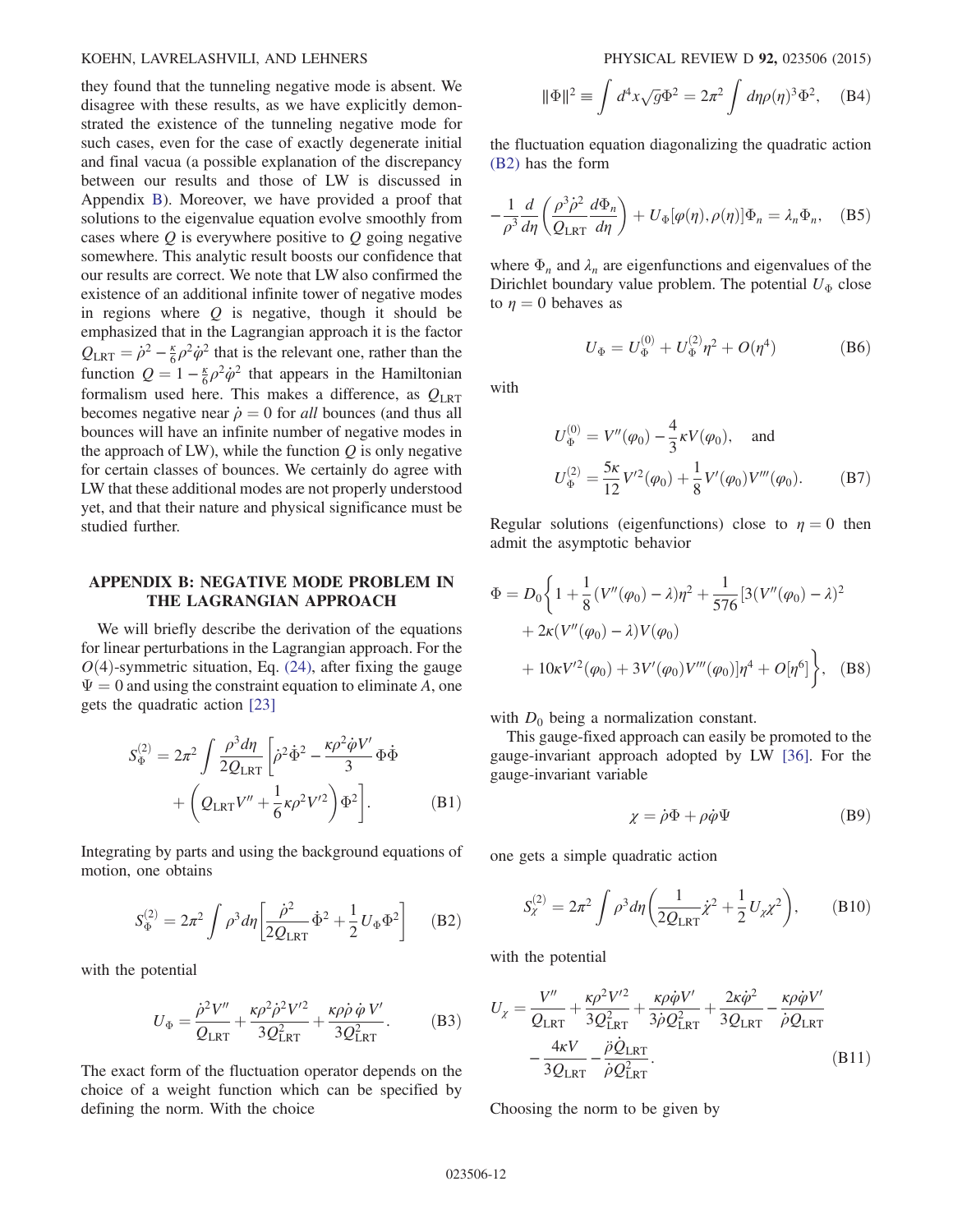they found that the tunneling negative mode is absent. We disagree with these results, as we have explicitly demonstrated the existence of the tunneling negative mode for such cases, even for the case of exactly degenerate initial and final vacua (a possible explanation of the discrepancy between our results and those of LW is discussed in Appendix [B\)](#page-11-0). Moreover, we have provided a proof that solutions to the eigenvalue equation evolve smoothly from cases where  $Q$  is everywhere positive to  $Q$  going negative somewhere. This analytic result boosts our confidence that our results are correct. We note that LW also confirmed the existence of an additional infinite tower of negative modes in regions where  $Q$  is negative, though it should be emphasized that in the Lagrangian approach it is the factor  $Q_{\text{LRT}} = \dot{\rho}^2 - \frac{\kappa}{6} \rho^2 \dot{\varphi}^2$  that is the relevant one, rather than the function  $Q = 1 - \frac{\kappa}{6} \rho^2 \dot{\varphi}^2$  that appears in the Hamiltonian formalism used here. This makes a difference, as  $Q_{LRT}$ becomes negative near  $\dot{\rho} = 0$  for *all* bounces (and thus all bounces will have an infinite number of negative modes in the approach of LW), while the function  $Q$  is only negative for certain classes of bounces. We certainly do agree with LW that these additional modes are not properly understood yet, and that their nature and physical significance must be studied further.

# <span id="page-11-0"></span>APPENDIX B: NEGATIVE MODE PROBLEM IN THE LAGRANGIAN APPROACH

We will briefly describe the derivation of the equations for linear perturbations in the Lagrangian approach. For the  $O(4)$ -symmetric situation, Eq. [\(24\)](#page-2-8), after fixing the gauge  $\Psi = 0$  and using the constraint equation to eliminate A, one gets the quadratic action [\[23\]](#page-14-4)

$$
S_{\Phi}^{(2)} = 2\pi^2 \int \frac{\rho^3 d\eta}{2Q_{\text{LRT}}} \left[ \dot{\rho}^2 \dot{\Phi}^2 - \frac{\kappa \rho^2 \dot{\phi} V'}{3} \Phi \dot{\Phi} \right] + \left( Q_{\text{LRT}} V'' + \frac{1}{6} \kappa \rho^2 V'^2 \right) \Phi^2 \bigg].
$$
 (B1)

<span id="page-11-1"></span>Integrating by parts and using the background equations of motion, one obtains

$$
S_{\Phi}^{(2)} = 2\pi^2 \int \rho^3 d\eta \left[ \frac{\dot{\rho}^2}{2Q_{\text{LRT}}} \dot{\Phi}^2 + \frac{1}{2} U_{\Phi} \Phi^2 \right] \quad (B2)
$$

with the potential

$$
U_{\Phi} = \frac{\dot{\rho}^2 V''}{Q_{\text{LRT}}} + \frac{\kappa \rho^2 \dot{\rho}^2 V'^2}{3 Q_{\text{LRT}}^2} + \frac{\kappa \rho \dot{\rho} \dot{\phi} V'}{3 Q_{\text{LRT}}^2}.
$$
 (B3)

The exact form of the fluctuation operator depends on the choice of a weight function which can be specified by defining the norm. With the choice

$$
\|\Phi\|^2 \equiv \int d^4x \sqrt{g}\Phi^2 = 2\pi^2 \int d\eta \rho(\eta)^3 \Phi^2, \quad (B4)
$$

the fluctuation equation diagonalizing the quadratic action [\(B2\)](#page-11-1) has the form

$$
-\frac{1}{\rho^3} \frac{d}{d\eta} \left(\frac{\rho^3 \dot{\rho}^2}{Q_{\text{LRT}}} \frac{d\Phi_n}{d\eta}\right) + U_{\Phi}[\varphi(\eta), \rho(\eta)] \Phi_n = \lambda_n \Phi_n, \quad (B5)
$$

where  $\Phi_n$  and  $\lambda_n$  are eigenfunctions and eigenvalues of the Dirichlet boundary value problem. The potential  $U_{\Phi}$  close to  $\eta = 0$  behaves as

$$
U_{\Phi} = U_{\Phi}^{(0)} + U_{\Phi}^{(2)} \eta^2 + O(\eta^4)
$$
 (B6)

with

$$
U_{\Phi}^{(0)} = V''(\varphi_0) - \frac{4}{3}\kappa V(\varphi_0), \text{ and}
$$
  

$$
U_{\Phi}^{(2)} = \frac{5\kappa}{12}V'^2(\varphi_0) + \frac{1}{8}V'(\varphi_0)V'''(\varphi_0).
$$
 (B7)

Regular solutions (eigenfunctions) close to  $\eta = 0$  then admit the asymptotic behavior

$$
\Phi = D_0 \left\{ 1 + \frac{1}{8} (V''(\varphi_0) - \lambda) \eta^2 + \frac{1}{576} [3(V''(\varphi_0) - \lambda)^2
$$
  
+ 2\kappa (V''(\varphi\_0) - \lambda) V(\varphi\_0)  
+ 10\kappa V'^2(\varphi\_0) + 3V'(\varphi\_0) V'''(\varphi\_0)] \eta^4 + O[\eta^6] \right\}, (B8)

with  $D_0$  being a normalization constant.

This gauge-fixed approach can easily be promoted to the gauge-invariant approach adopted by LW [\[36\].](#page-15-3) For the gauge-invariant variable

$$
\chi = \dot{\rho}\Phi + \rho\dot{\phi}\Psi \tag{B9}
$$

one gets a simple quadratic action

$$
S_{\chi}^{(2)} = 2\pi^2 \int \rho^3 d\eta \left( \frac{1}{2Q_{\text{LRT}}} \dot{\chi}^2 + \frac{1}{2} U_{\chi} \chi^2 \right), \qquad (B10)
$$

with the potential

$$
U_{\chi} = \frac{V''}{Q_{\text{LRT}}} + \frac{\kappa \rho^2 V'^2}{3Q_{\text{LRT}}^2} + \frac{\kappa \rho \dot{\phi} V'}{3\dot{\rho} Q_{\text{LRT}}^2} + \frac{2\kappa \dot{\phi}^2}{3Q_{\text{LRT}}} - \frac{\kappa \rho \dot{\phi} V'}{\dot{\rho} Q_{\text{LRT}}} - \frac{4\kappa V}{3Q_{\text{LRT}}} - \frac{\ddot{\rho} \dot{Q}_{\text{LRT}}}{\dot{\rho} Q_{\text{LRT}}^2}.
$$
 (B11)

Choosing the norm to be given by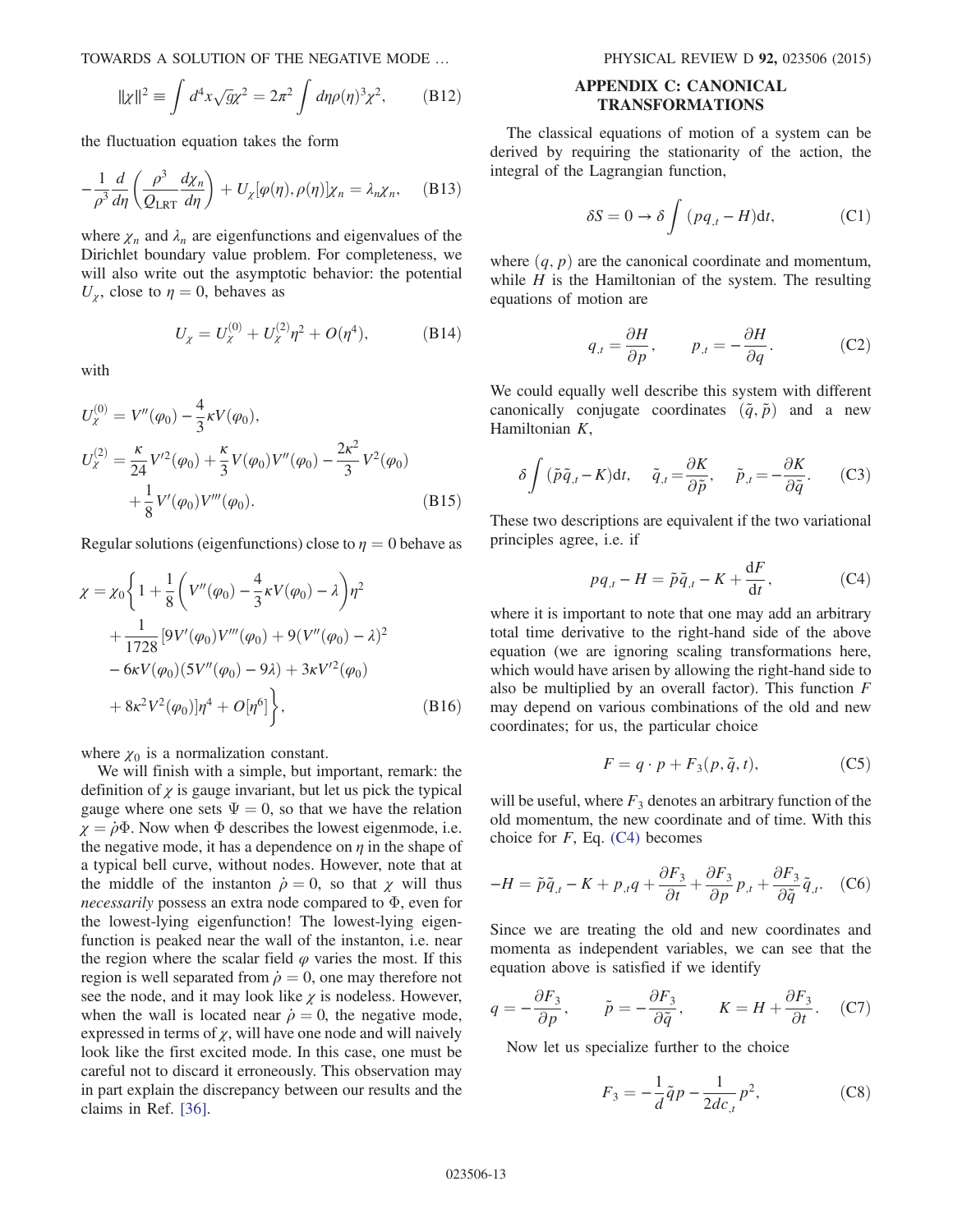TOWARDS A SOLUTION OF THE NEGATIVE MODE … PHYSICAL REVIEW D 92, 023506 (2015)

$$
\|\chi\|^2 \equiv \int d^4x \sqrt{g}\chi^2 = 2\pi^2 \int d\eta \rho(\eta)^3 \chi^2, \qquad (B12)
$$

the fluctuation equation takes the form

$$
-\frac{1}{\rho^3}\frac{d}{d\eta}\left(\frac{\rho^3}{Q_{\text{LRT}}}\frac{d\chi_n}{d\eta}\right) + U_{\chi}[\varphi(\eta), \rho(\eta)]\chi_n = \lambda_n \chi_n, \quad \text{(B13)}
$$

where  $\chi_n$  and  $\lambda_n$  are eigenfunctions and eigenvalues of the Dirichlet boundary value problem. For completeness, we will also write out the asymptotic behavior: the potential  $U_{\gamma}$ , close to  $\eta = 0$ , behaves as

$$
U_{\chi} = U_{\chi}^{(0)} + U_{\chi}^{(2)} \eta^{2} + O(\eta^{4}), \qquad (B14)
$$

with

$$
U_{\chi}^{(0)} = V''(\varphi_0) - \frac{4}{3}\kappa V(\varphi_0),
$$
  
\n
$$
U_{\chi}^{(2)} = \frac{\kappa}{24}V'^2(\varphi_0) + \frac{\kappa}{3}V(\varphi_0)V''(\varphi_0) - \frac{2\kappa^2}{3}V^2(\varphi_0)
$$
  
\n
$$
+ \frac{1}{8}V'(\varphi_0)V'''(\varphi_0).
$$
 (B15)

Regular solutions (eigenfunctions) close to  $\eta = 0$  behave as

$$
\chi = \chi_0 \left\{ 1 + \frac{1}{8} \left( V''(\varphi_0) - \frac{4}{3} \kappa V(\varphi_0) - \lambda \right) \eta^2 + \frac{1}{1728} \left[ 9V'(\varphi_0) V'''(\varphi_0) + 9(V''(\varphi_0) - \lambda)^2 - 6\kappa V(\varphi_0) (5V''(\varphi_0) - 9\lambda) + 3\kappa V'^2(\varphi_0) + 8\kappa^2 V^2(\varphi_0) \right] \eta^4 + O[\eta^6] \right\},
$$
\n(B16)

where  $\chi_0$  is a normalization constant.

We will finish with a simple, but important, remark: the definition of  $\chi$  is gauge invariant, but let us pick the typical gauge where one sets  $\Psi = 0$ , so that we have the relation  $\chi = \dot{\rho} \Phi$ . Now when  $\Phi$  describes the lowest eigenmode, i.e. the negative mode, it has a dependence on  $\eta$  in the shape of a typical bell curve, without nodes. However, note that at the middle of the instanton  $\dot{\rho} = 0$ , so that  $\chi$  will thus necessarily possess an extra node compared to Φ, even for the lowest-lying eigenfunction! The lowest-lying eigenfunction is peaked near the wall of the instanton, i.e. near the region where the scalar field  $\varphi$  varies the most. If this region is well separated from  $\dot{\rho} = 0$ , one may therefore not see the node, and it may look like  $\chi$  is nodeless. However, when the wall is located near  $\dot{\rho} = 0$ , the negative mode, expressed in terms of  $\chi$ , will have one node and will naively look like the first excited mode. In this case, one must be careful not to discard it erroneously. This observation may in part explain the discrepancy between our results and the claims in Ref. [\[36\].](#page-15-3)

# APPENDIX C: CANONICAL TRANSFORMATIONS

<span id="page-12-0"></span>The classical equations of motion of a system can be derived by requiring the stationarity of the action, the integral of the Lagrangian function,

$$
\delta S = 0 \to \delta \int (pq_{,t} - H) dt, \qquad (C1)
$$

where  $(q, p)$  are the canonical coordinate and momentum, while  $H$  is the Hamiltonian of the system. The resulting equations of motion are

$$
q_{,t} = \frac{\partial H}{\partial p}, \qquad p_{,t} = -\frac{\partial H}{\partial q}.
$$
 (C2)

We could equally well describe this system with different canonically conjugate coordinates  $(\tilde{q}, \tilde{p})$  and a new Hamiltonian K,

$$
\delta \int (\tilde{p}\tilde{q}_{,t} - K) dt, \quad \tilde{q}_{,t} = \frac{\partial K}{\partial \tilde{p}}, \quad \tilde{p}_{,t} = -\frac{\partial K}{\partial \tilde{q}}.
$$
 (C3)

<span id="page-12-1"></span>These two descriptions are equivalent if the two variational principles agree, i.e. if

$$
pq_{,t} - H = \tilde{p}\tilde{q}_{,t} - K + \frac{dF}{dt},\qquad (C4)
$$

where it is important to note that one may add an arbitrary total time derivative to the right-hand side of the above equation (we are ignoring scaling transformations here, which would have arisen by allowing the right-hand side to also be multiplied by an overall factor). This function  $F$ may depend on various combinations of the old and new coordinates; for us, the particular choice

$$
F = q \cdot p + F_3(p, \tilde{q}, t), \tag{C5}
$$

will be useful, where  $F_3$  denotes an arbitrary function of the old momentum, the new coordinate and of time. With this choice for  $F$ , Eq. [\(C4\)](#page-12-1) becomes

$$
-H = \tilde{p}\tilde{q}_{,t} - K + p_{,t}q + \frac{\partial F_3}{\partial t} + \frac{\partial F_3}{\partial p}p_{,t} + \frac{\partial F_3}{\partial \tilde{q}}\tilde{q}_{,t}.
$$
 (C6)

Since we are treating the old and new coordinates and momenta as independent variables, we can see that the equation above is satisfied if we identify

$$
q = -\frac{\partial F_3}{\partial p}, \qquad \tilde{p} = -\frac{\partial F_3}{\partial \tilde{q}}, \qquad K = H + \frac{\partial F_3}{\partial t}. \quad \text{(C7)}
$$

Now let us specialize further to the choice

$$
F_3 = -\frac{1}{d}\tilde{q}p - \frac{1}{2dc_{,t}}p^2,
$$
 (C8)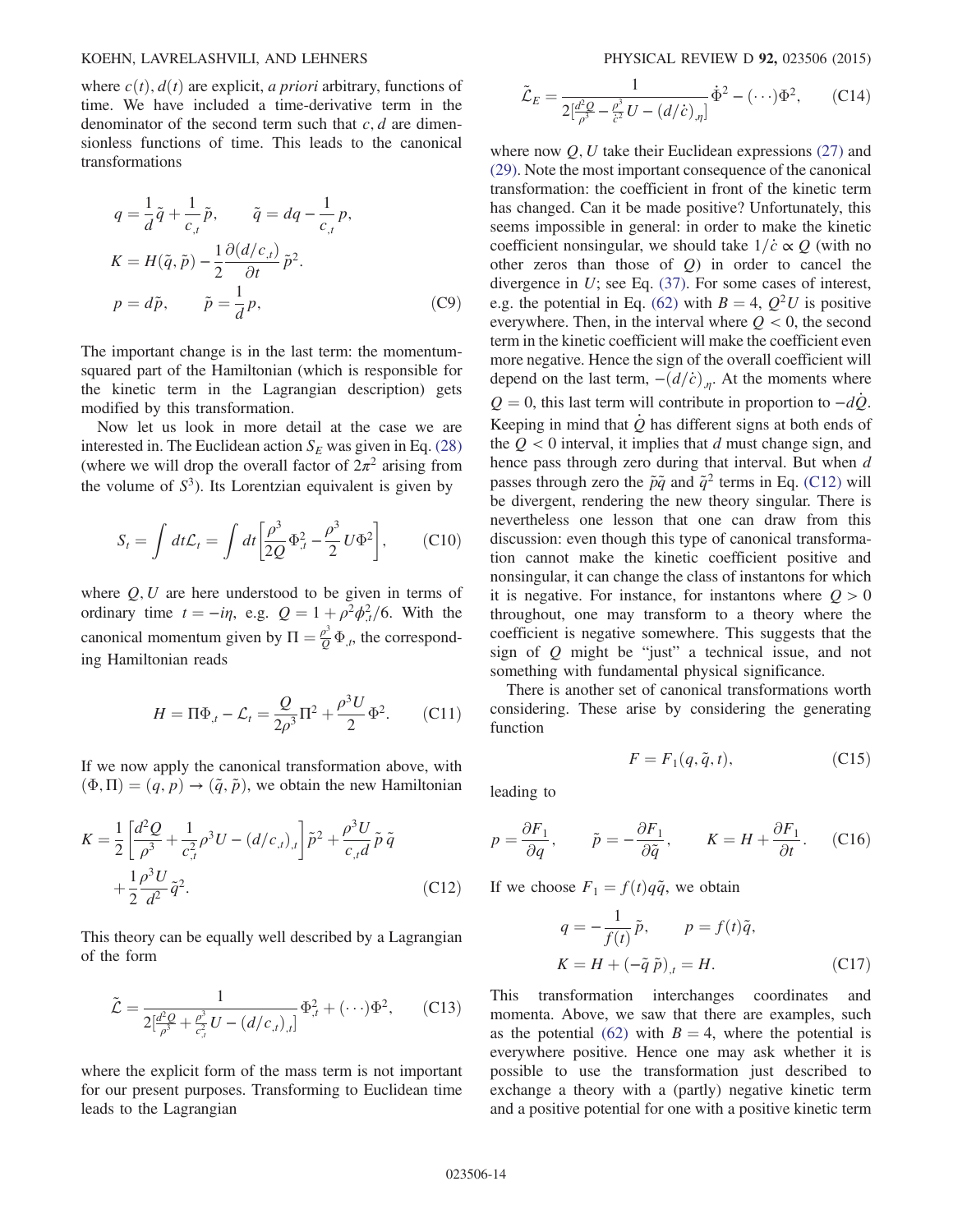where  $c(t)$ ,  $d(t)$  are explicit, a priori arbitrary, functions of time. We have included a time-derivative term in the denominator of the second term such that  $c, d$  are dimensionless functions of time. This leads to the canonical transformations

$$
q = \frac{1}{d}\tilde{q} + \frac{1}{c_{,t}}\tilde{p}, \qquad \tilde{q} = dq - \frac{1}{c_{,t}}p,
$$
  
\n
$$
K = H(\tilde{q}, \tilde{p}) - \frac{1}{2}\frac{\partial(d/c_{,t})}{\partial t}\tilde{p}^{2}.
$$
  
\n
$$
p = d\tilde{p}, \qquad \tilde{p} = \frac{1}{d}p,
$$
 (C9)

The important change is in the last term: the momentumsquared part of the Hamiltonian (which is responsible for the kinetic term in the Lagrangian description) gets modified by this transformation.

Now let us look in more detail at the case we are interested in. The Euclidean action  $S_E$  was given in Eq. [\(28\)](#page-3-2) (where we will drop the overall factor of  $2\pi^2$  arising from the volume of  $S<sup>3</sup>$ ). Its Lorentzian equivalent is given by

$$
S_t = \int dt \mathcal{L}_t = \int dt \left[ \frac{\rho^3}{2Q} \Phi_{,t}^2 - \frac{\rho^3}{2} U \Phi^2 \right], \qquad (C10)
$$

where  $Q, U$  are here understood to be given in terms of ordinary time  $t = -i\eta$ , e.g.  $Q = 1 + \rho^2 \phi_{,t}^2/6$ . With the canonical momentum given by  $\Pi = \frac{\rho^3}{Q} \Phi_{,t}$ , the corresponding Hamiltonian reads

$$
H = \Pi \Phi_{,t} - \mathcal{L}_t = \frac{Q}{2\rho^3} \Pi^2 + \frac{\rho^3 U}{2} \Phi^2.
$$
 (C11)

<span id="page-13-0"></span>If we now apply the canonical transformation above, with  $(\Phi, \Pi) = (q, p) \rightarrow (\tilde{q}, \tilde{p})$ , we obtain the new Hamiltonian

$$
K = \frac{1}{2} \left[ \frac{d^2 Q}{\rho^3} + \frac{1}{c_{,t}^2} \rho^3 U - (d/c_{,t})_{,t} \right] \tilde{p}^2 + \frac{\rho^3 U}{c_{,t} d} \tilde{p} \tilde{q} + \frac{1}{2} \frac{\rho^3 U}{d^2} \tilde{q}^2.
$$
 (C12)

This theory can be equally well described by a Lagrangian of the form

$$
\tilde{\mathcal{L}} = \frac{1}{2\left[\frac{d^2Q}{\rho^3} + \frac{\rho^3}{c_x^2}U - \left(d/c_{,t}\right)_{,t}\right]} \Phi_{,t}^2 + (\cdots)\Phi_{,t}^2 \tag{C13}
$$

where the explicit form of the mass term is not important for our present purposes. Transforming to Euclidean time leads to the Lagrangian

$$
\tilde{\mathcal{L}}_E = \frac{1}{2\left[\frac{d^2Q}{\rho^3} - \frac{\rho^3}{c^2}U - \left(d/\dot{c}\right)_{,\eta}\right]} \dot{\Phi}^2 - (\cdots)\Phi^2, \qquad \text{(C14)}
$$

where now  $Q, U$  take their Euclidean expressions [\(27\)](#page-3-1) and [\(29\)](#page-3-3). Note the most important consequence of the canonical transformation: the coefficient in front of the kinetic term has changed. Can it be made positive? Unfortunately, this seems impossible in general: in order to make the kinetic coefficient nonsingular, we should take  $1/\dot{c} \propto Q$  (with no other zeros than those of  $Q$ ) in order to cancel the divergence in  $U$ ; see Eq. [\(37\).](#page-4-4) For some cases of interest, e.g. the potential in Eq. [\(62\)](#page-6-2) with  $B = 4$ ,  $Q^2U$  is positive everywhere. Then, in the interval where  $Q < 0$ , the second term in the kinetic coefficient will make the coefficient even more negative. Hence the sign of the overall coefficient will depend on the last term,  $-(d/\dot{c})_n$ . At the moments where  $Q = 0$ , this last term will contribute in proportion to  $-d\dot{Q}$ . Keeping in mind that  $\dot{Q}$  has different signs at both ends of the  $Q < 0$  interval, it implies that d must change sign, and hence pass through zero during that interval. But when d passes through zero the  $\tilde{p}\tilde{q}$  and  $\tilde{q}^2$  terms in Eq. [\(C12\)](#page-13-0) will be divergent, rendering the new theory singular. There is nevertheless one lesson that one can draw from this discussion: even though this type of canonical transformation cannot make the kinetic coefficient positive and nonsingular, it can change the class of instantons for which it is negative. For instance, for instantons where  $Q > 0$ throughout, one may transform to a theory where the coefficient is negative somewhere. This suggests that the sign of Q might be "just" a technical issue, and not something with fundamental physical significance.

There is another set of canonical transformations worth considering. These arise by considering the generating function

$$
F = F_1(q, \tilde{q}, t), \tag{C15}
$$

leading to

$$
p = \frac{\partial F_1}{\partial q}, \qquad \tilde{p} = -\frac{\partial F_1}{\partial \tilde{q}}, \qquad K = H + \frac{\partial F_1}{\partial t}.
$$
 (C16)

If we choose  $F_1 = f(t)q\tilde{q}$ , we obtain

$$
q = -\frac{1}{f(t)}\tilde{p}, \qquad p = f(t)\tilde{q},
$$
  

$$
K = H + (-\tilde{q}\tilde{p})_{,t} = H.
$$
 (C17)

This transformation interchanges coordinates and momenta. Above, we saw that there are examples, such as the potential [\(62\)](#page-6-2) with  $B = 4$ , where the potential is everywhere positive. Hence one may ask whether it is possible to use the transformation just described to exchange a theory with a (partly) negative kinetic term and a positive potential for one with a positive kinetic term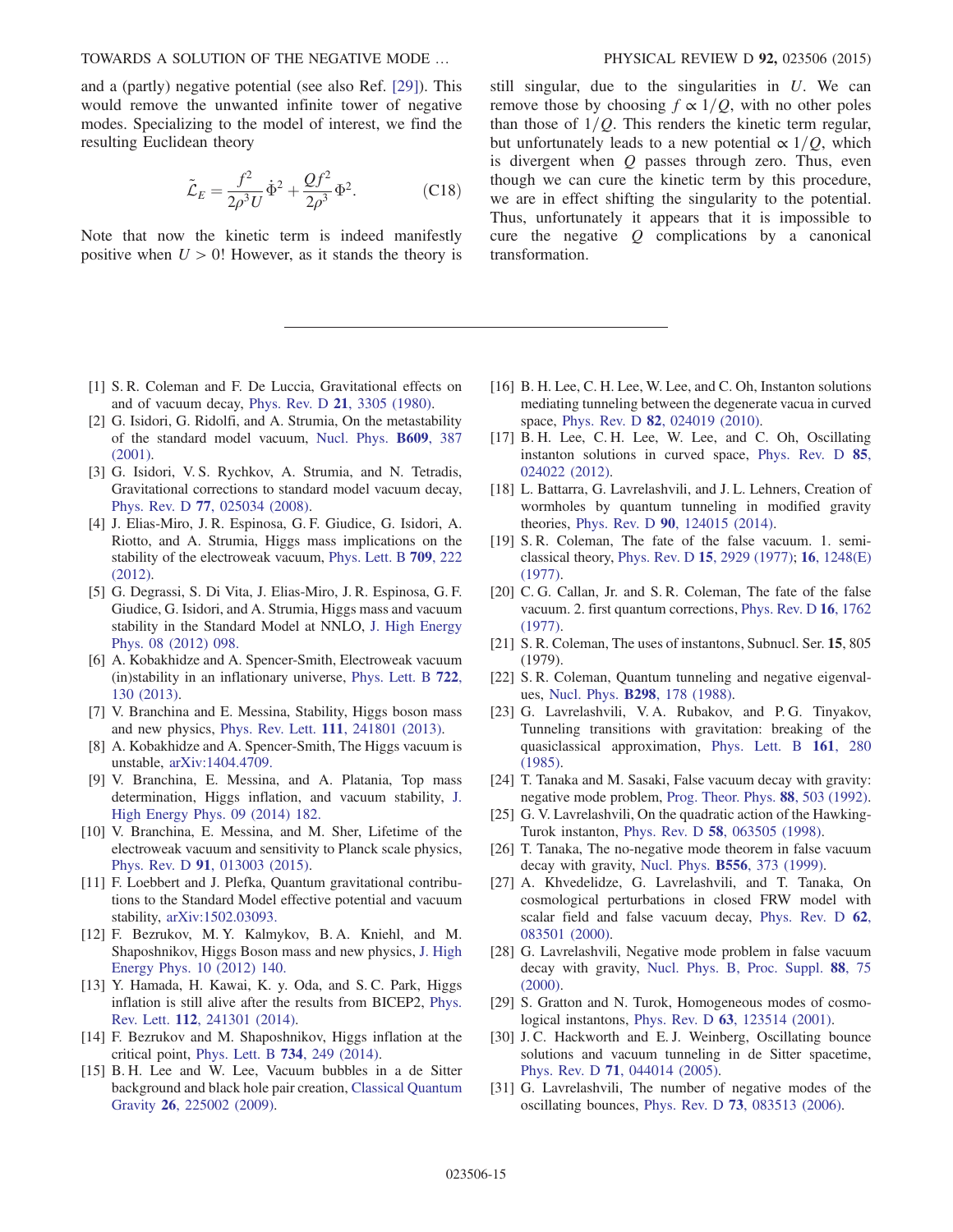TOWARDS A SOLUTION OF THE NEGATIVE MODE … PHYSICAL REVIEW D 92, 023506 (2015)

and a (partly) negative potential (see also Ref. [\[29\]](#page-14-7)). This would remove the unwanted infinite tower of negative modes. Specializing to the model of interest, we find the resulting Euclidean theory

$$
\tilde{\mathcal{L}}_E = \frac{f^2}{2\rho^3 U} \dot{\Phi}^2 + \frac{Qf^2}{2\rho^3} \Phi^2.
$$
 (C18)

Note that now the kinetic term is indeed manifestly positive when  $U > 0!$  However, as it stands the theory is

still singular, due to the singularities in U. We can remove those by choosing  $f \propto 1/Q$ , with no other poles than those of  $1/Q$ . This renders the kinetic term regular, but unfortunately leads to a new potential  $\propto 1/Q$ , which is divergent when  $Q$  passes through zero. Thus, even though we can cure the kinetic term by this procedure, we are in effect shifting the singularity to the potential. Thus, unfortunately it appears that it is impossible to cure the negative  $Q$  complications by a canonical transformation.

- <span id="page-14-0"></span>[1] S. R. Coleman and F. De Luccia, Gravitational effects on and of vacuum decay, Phys. Rev. D 21[, 3305 \(1980\)](http://dx.doi.org/10.1103/PhysRevD.21.3305).
- <span id="page-14-1"></span>[2] G. Isidori, G. Ridolfi, and A. Strumia, On the metastability of the standard model vacuum, [Nucl. Phys.](http://dx.doi.org/10.1016/S0550-3213(01)00302-9) B609, 387 [\(2001\).](http://dx.doi.org/10.1016/S0550-3213(01)00302-9)
- [3] G. Isidori, V. S. Rychkov, A. Strumia, and N. Tetradis, Gravitational corrections to standard model vacuum decay, Phys. Rev. D 77[, 025034 \(2008\)](http://dx.doi.org/10.1103/PhysRevD.77.025034).
- [4] J. Elias-Miro, J. R. Espinosa, G. F. Giudice, G. Isidori, A. Riotto, and A. Strumia, Higgs mass implications on the stability of the electroweak vacuum, [Phys. Lett. B](http://dx.doi.org/10.1016/j.physletb.2012.02.013) 709, 222 [\(2012\).](http://dx.doi.org/10.1016/j.physletb.2012.02.013)
- [5] G. Degrassi, S. Di Vita, J. Elias-Miro, J. R. Espinosa, G. F. Giudice, G. Isidori, and A. Strumia, Higgs mass and vacuum stability in the Standard Model at NNLO, [J. High Energy](http://dx.doi.org/10.1007/JHEP08(2012)098) [Phys. 08 \(2012\) 098.](http://dx.doi.org/10.1007/JHEP08(2012)098)
- [6] A. Kobakhidze and A. Spencer-Smith, Electroweak vacuum (in)stability in an inflationary universe, [Phys. Lett. B](http://dx.doi.org/10.1016/j.physletb.2013.04.013) 722, [130 \(2013\)](http://dx.doi.org/10.1016/j.physletb.2013.04.013).
- [7] V. Branchina and E. Messina, Stability, Higgs boson mass and new physics, Phys. Rev. Lett. 111[, 241801 \(2013\).](http://dx.doi.org/10.1103/PhysRevLett.111.241801)
- [8] A. Kobakhidze and A. Spencer-Smith, The Higgs vacuum is unstable, [arXiv:1404.4709.](http://arXiv.org/abs/1404.4709)
- [9] V. Branchina, E. Messina, and A. Platania, Top mass determination, Higgs inflation, and vacuum stability, [J.](http://dx.doi.org/10.1007/JHEP09(2014)182) [High Energy Phys. 09 \(2014\) 182.](http://dx.doi.org/10.1007/JHEP09(2014)182)
- [10] V. Branchina, E. Messina, and M. Sher, Lifetime of the electroweak vacuum and sensitivity to Planck scale physics, Phys. Rev. D 91[, 013003 \(2015\)](http://dx.doi.org/10.1103/PhysRevD.91.013003).
- [11] F. Loebbert and J. Plefka, Quantum gravitational contributions to the Standard Model effective potential and vacuum stability, [arXiv:1502.03093.](http://arXiv.org/abs/1502.03093)
- [12] F. Bezrukov, M. Y. Kalmykov, B. A. Kniehl, and M. Shaposhnikov, Higgs Boson mass and new physics, [J. High](http://dx.doi.org/10.1007/JHEP10(2012)140) [Energy Phys. 10 \(2012\) 140.](http://dx.doi.org/10.1007/JHEP10(2012)140)
- [13] Y. Hamada, H. Kawai, K. y. Oda, and S. C. Park, Higgs inflation is still alive after the results from BICEP2, [Phys.](http://dx.doi.org/10.1103/PhysRevLett.112.241301) Rev. Lett. 112[, 241301 \(2014\).](http://dx.doi.org/10.1103/PhysRevLett.112.241301)
- [14] F. Bezrukov and M. Shaposhnikov, Higgs inflation at the critical point, [Phys. Lett. B](http://dx.doi.org/10.1016/j.physletb.2014.05.074) 734, 249 (2014).
- <span id="page-14-8"></span>[15] B. H. Lee and W. Lee, Vacuum bubbles in a de Sitter background and black hole pair creation, [Classical Quantum](http://dx.doi.org/10.1088/0264-9381/26/22/225002) Gravity 26[, 225002 \(2009\).](http://dx.doi.org/10.1088/0264-9381/26/22/225002)
- [16] B. H. Lee, C. H. Lee, W. Lee, and C. Oh, Instanton solutions mediating tunneling between the degenerate vacua in curved space, Phys. Rev. D **82**[, 024019 \(2010\)](http://dx.doi.org/10.1103/PhysRevD.82.024019).
- [17] B. H. Lee, C. H. Lee, W. Lee, and C. Oh, Oscillating instanton solutions in curved space, [Phys. Rev. D](http://dx.doi.org/10.1103/PhysRevD.85.024022) 85, [024022 \(2012\).](http://dx.doi.org/10.1103/PhysRevD.85.024022)
- [18] L. Battarra, G. Lavrelashvili, and J. L. Lehners, Creation of wormholes by quantum tunneling in modified gravity theories, Phys. Rev. D 90[, 124015 \(2014\).](http://dx.doi.org/10.1103/PhysRevD.90.124015)
- <span id="page-14-2"></span>[19] S. R. Coleman, The fate of the false vacuum. 1. semiclassical theory, Phys. Rev. D 15[, 2929 \(1977\);](http://dx.doi.org/10.1103/PhysRevD.15.2929) 16[, 1248\(E\)](http://dx.doi.org/10.1103/PhysRevD.16.1248) [\(1977\).](http://dx.doi.org/10.1103/PhysRevD.16.1248)
- <span id="page-14-10"></span>[20] C. G. Callan, Jr. and S. R. Coleman, The fate of the false vacuum. 2. first quantum corrections, [Phys. Rev. D](http://dx.doi.org/10.1103/PhysRevD.16.1762) 16, 1762 [\(1977\).](http://dx.doi.org/10.1103/PhysRevD.16.1762)
- [21] S. R. Coleman, The uses of instantons, Subnucl. Ser. 15, 805 (1979).
- <span id="page-14-3"></span>[22] S. R. Coleman, Quantum tunneling and negative eigenvalues, Nucl. Phys. B298[, 178 \(1988\)](http://dx.doi.org/10.1016/0550-3213(88)90308-2).
- <span id="page-14-4"></span>[23] G. Lavrelashvili, V. A. Rubakov, and P. G. Tinyakov, Tunneling transitions with gravitation: breaking of the quasiclassical approximation, [Phys. Lett. B](http://dx.doi.org/10.1016/0370-2693(85)90761-0) 161, 280 [\(1985\).](http://dx.doi.org/10.1016/0370-2693(85)90761-0)
- <span id="page-14-5"></span>[24] T. Tanaka and M. Sasaki, False vacuum decay with gravity: negative mode problem, [Prog. Theor. Phys.](http://dx.doi.org/10.1143/ptp/88.3.503) 88, 503 (1992).
- [25] G. V. Lavrelashvili, On the quadratic action of the Hawking-Turok instanton, Phys. Rev. D 58[, 063505 \(1998\).](http://dx.doi.org/10.1103/PhysRevD.58.063505)
- [26] T. Tanaka, The no-negative mode theorem in false vacuum decay with gravity, Nucl. Phys. B556[, 373 \(1999\)](http://dx.doi.org/10.1016/S0550-3213(99)00369-7).
- <span id="page-14-6"></span>[27] A. Khvedelidze, G. Lavrelashvili, and T. Tanaka, On cosmological perturbations in closed FRW model with scalar field and false vacuum decay, [Phys. Rev. D](http://dx.doi.org/10.1103/PhysRevD.62.083501) 62, [083501 \(2000\).](http://dx.doi.org/10.1103/PhysRevD.62.083501)
- <span id="page-14-9"></span>[28] G. Lavrelashvili, Negative mode problem in false vacuum decay with gravity, [Nucl. Phys. B, Proc. Suppl.](http://dx.doi.org/10.1016/S0920-5632(00)00756-8) 88, 75 [\(2000\).](http://dx.doi.org/10.1016/S0920-5632(00)00756-8)
- <span id="page-14-7"></span>[29] S. Gratton and N. Turok, Homogeneous modes of cosmological instantons, Phys. Rev. D 63[, 123514 \(2001\)](http://dx.doi.org/10.1103/PhysRevD.63.123514).
- [30] J.C. Hackworth and E.J. Weinberg, Oscillating bounce solutions and vacuum tunneling in de Sitter spacetime, Phys. Rev. D 71[, 044014 \(2005\)](http://dx.doi.org/10.1103/PhysRevD.71.044014).
- [31] G. Lavrelashvili, The number of negative modes of the oscillating bounces, Phys. Rev. D 73[, 083513 \(2006\).](http://dx.doi.org/10.1103/PhysRevD.73.083513)